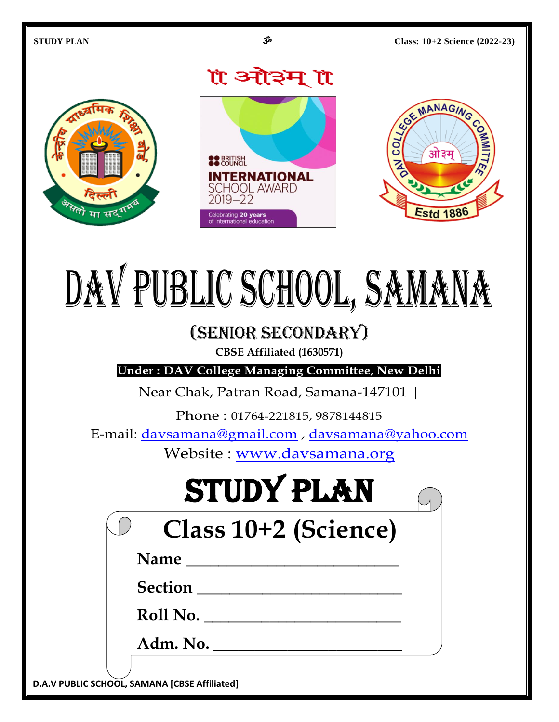

# DAV PUBLIC SCHOOL, SAMANA

# (Senior Secondary)

**CBSE Affiliated (1630571)**

**Under : DAV College Managing Committee, New Delhi**

Near Chak, Patran Road, Samana-147101 |

Phone : 01764-221815, 9878144815

E-mail: [davsamana@gmail.com](mailto:davsamana@gmail.com) , [davsamana@yahoo.com](mailto:davsamana@yahoo.com)

Website : [www.davsamana.org](http://www.davsamana.org/)

# STUDY PLAN

# **Class 10+2 (Science)**

**Name \_\_\_\_\_\_\_\_\_\_\_\_\_\_\_\_\_\_\_\_\_\_\_\_\_\_** 

**Section \_\_\_\_\_\_\_\_\_\_\_\_\_\_\_\_\_\_\_\_\_\_\_\_\_** 

**Roll No. \_\_\_\_\_\_\_\_\_\_\_\_\_\_\_\_\_\_\_\_\_\_\_\_**

**Adm. No. \_\_\_\_\_\_\_\_\_\_\_\_\_\_\_\_\_\_\_\_\_\_\_**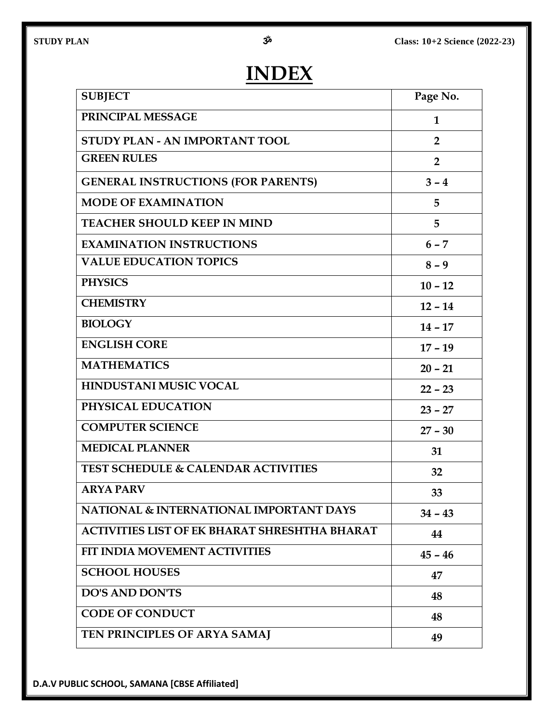# **INDEX**

| <b>SUBJECT</b>                                       | Page No.       |
|------------------------------------------------------|----------------|
| PRINCIPAL MESSAGE                                    | $\mathbf 1$    |
| STUDY PLAN - AN IMPORTANT TOOL                       | $\overline{2}$ |
| <b>GREEN RULES</b>                                   | $\overline{2}$ |
| <b>GENERAL INSTRUCTIONS (FOR PARENTS)</b>            | $3 - 4$        |
| <b>MODE OF EXAMINATION</b>                           | 5              |
| <b>TEACHER SHOULD KEEP IN MIND</b>                   | 5              |
| <b>EXAMINATION INSTRUCTIONS</b>                      | $6 - 7$        |
| <b>VALUE EDUCATION TOPICS</b>                        | $8 - 9$        |
| <b>PHYSICS</b>                                       | $10 - 12$      |
| <b>CHEMISTRY</b>                                     | $12 - 14$      |
| <b>BIOLOGY</b>                                       | $14 - 17$      |
| <b>ENGLISH CORE</b>                                  | $17 - 19$      |
| <b>MATHEMATICS</b>                                   | $20 - 21$      |
| HINDUSTANI MUSIC VOCAL                               | $22 - 23$      |
| PHYSICAL EDUCATION                                   | $23 - 27$      |
| <b>COMPUTER SCIENCE</b>                              | $27 - 30$      |
| <b>MEDICAL PLANNER</b>                               | 31             |
| <b>TEST SCHEDULE &amp; CALENDAR ACTIVITIES</b>       | 32             |
| <b>ARYA PARV</b>                                     | 33             |
| NATIONAL & INTERNATIONAL IMPORTANT DAYS              | $34 - 43$      |
| <b>ACTIVITIES LIST OF EK BHARAT SHRESHTHA BHARAT</b> | 44             |
| FIT INDIA MOVEMENT ACTIVITIES                        | $45 - 46$      |
| <b>SCHOOL HOUSES</b>                                 | 47             |
| <b>DO'S AND DON'TS</b>                               | 48             |
| <b>CODE OF CONDUCT</b>                               | 48             |
| TEN PRINCIPLES OF ARYA SAMAJ                         | 49             |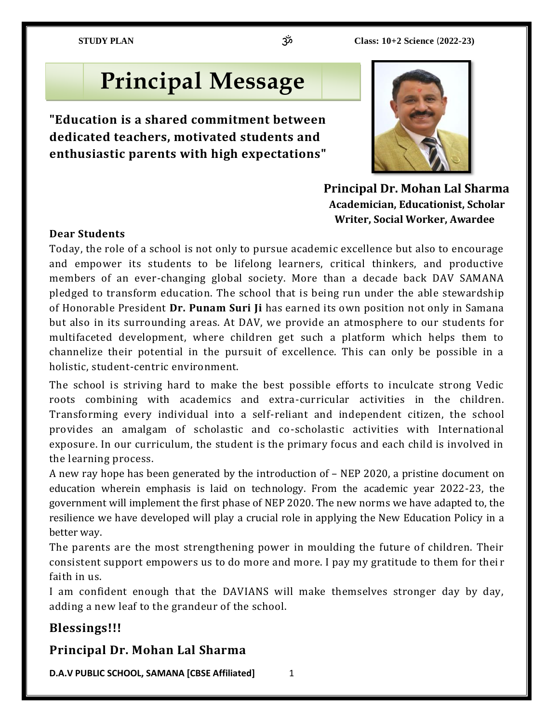# **Principal Message**

**"Education is a shared commitment between dedicated teachers, motivated students and enthusiastic parents with high expectations"** 



 **Principal Dr. Mohan Lal Sharma Academician, Educationist, Scholar Writer, Social Worker, Awardee** 

### **Dear Students**

Today, the role of a school is not only to pursue academic excellence but also to encourage and empower its students to be lifelong learners, critical thinkers, and productive members of an ever-changing global society. More than a decade back DAV SAMANA pledged to transform education. The school that is being run under the able stewardship of Honorable President **Dr. Punam Suri Ji** has earned its own position not only in Samana but also in its surrounding areas. At DAV, we provide an atmosphere to our students for multifaceted development, where children get such a platform which helps them to channelize their potential in the pursuit of excellence. This can only be possible in a holistic, student-centric environment.

The school is striving hard to make the best possible efforts to inculcate strong Vedic roots combining with academics and extra-curricular activities in the children. Transforming every individual into a self-reliant and independent citizen, the school provides an amalgam of scholastic and co-scholastic activities with International exposure. In our curriculum, the student is the primary focus and each child is involved in the learning process.

A new ray hope has been generated by the introduction of – NEP 2020, a pristine document on education wherein emphasis is laid on technology. From the academic year 2022-23, the government will implement the first phase of NEP 2020. The new norms we have adapted to, the resilience we have developed will play a crucial role in applying the New Education Policy in a better way.

The parents are the most strengthening power in moulding the future of children. Their consistent support empowers us to do more and more. I pay my gratitude to them for thei r faith in us.

I am confident enough that the DAVIANS will make themselves stronger day by day, adding a new leaf to the grandeur of the school.

### **Blessings!!!**

### **Principal Dr. Mohan Lal Sharma**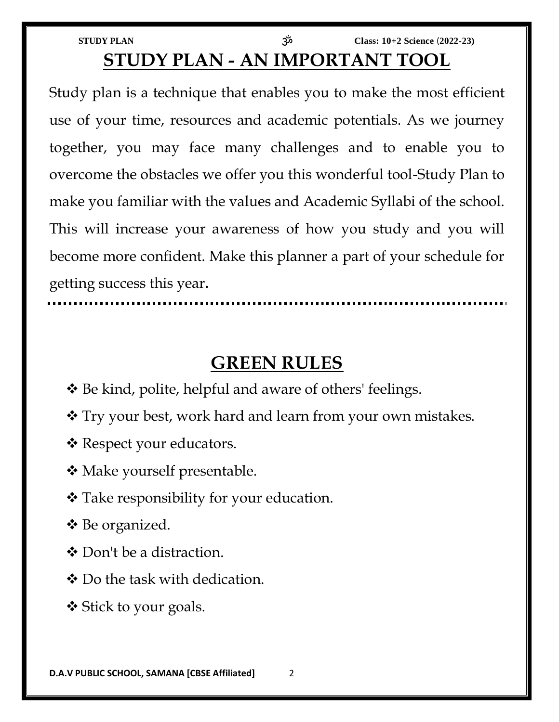| <b>STUDY PLAN</b>              | ညိ | Class: $10+2$ Science $(2022-23)$ |
|--------------------------------|----|-----------------------------------|
| STUDY PLAN - AN IMPORTANT TOOL |    |                                   |

Study plan is a technique that enables you to make the most efficient use of your time, resources and academic potentials. As we journey together, you may face many challenges and to enable you to overcome the obstacles we offer you this wonderful tool-Study Plan to make you familiar with the values and Academic Syllabi of the school. This will increase your awareness of how you study and you will become more confident. Make this planner a part of your schedule for getting success this year**.**

# **GREEN RULES**

- Be kind, polite, helpful and aware of others' feelings.
- Try your best, work hard and learn from your own mistakes.
- \* Respect your educators.
- **❖** Make yourself presentable.
- Take responsibility for your education.
- Be organized.
- ❖ Don't be a distraction.
- Do the task with dedication.
- **❖** Stick to your goals.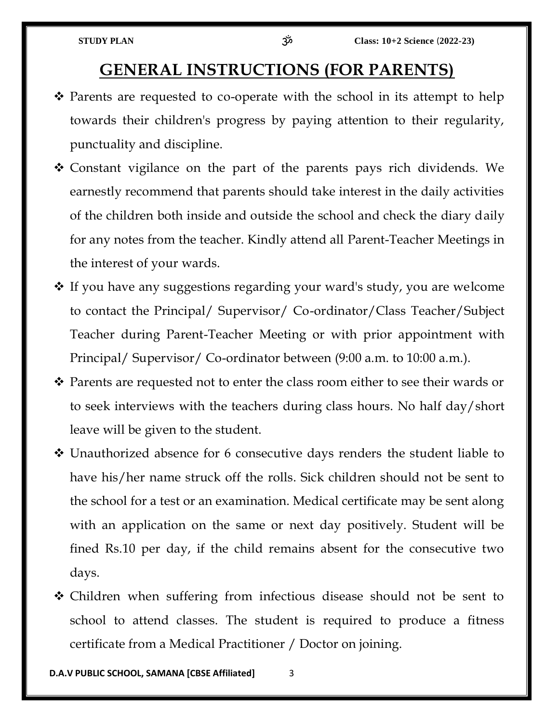# **GENERAL INSTRUCTIONS (FOR PARENTS)**

- $\hat{\mathbf{v}}$  Parents are requested to co-operate with the school in its attempt to help towards their children's progress by paying attention to their regularity, punctuality and discipline.
- Constant vigilance on the part of the parents pays rich dividends. We earnestly recommend that parents should take interest in the daily activities of the children both inside and outside the school and check the diary daily for any notes from the teacher. Kindly attend all Parent-Teacher Meetings in the interest of your wards.
- $\cdot$  If you have any suggestions regarding your ward's study, you are welcome to contact the Principal/ Supervisor/ Co-ordinator/Class Teacher/Subject Teacher during Parent-Teacher Meeting or with prior appointment with Principal/ Supervisor/ Co-ordinator between (9:00 a.m. to 10:00 a.m.).
- ◆ Parents are requested not to enter the class room either to see their wards or to seek interviews with the teachers during class hours. No half day/short leave will be given to the student.
- Unauthorized absence for 6 consecutive days renders the student liable to have his/her name struck off the rolls. Sick children should not be sent to the school for a test or an examination. Medical certificate may be sent along with an application on the same or next day positively. Student will be fined Rs.10 per day, if the child remains absent for the consecutive two days.
- Children when suffering from infectious disease should not be sent to school to attend classes. The student is required to produce a fitness certificate from a Medical Practitioner / Doctor on joining.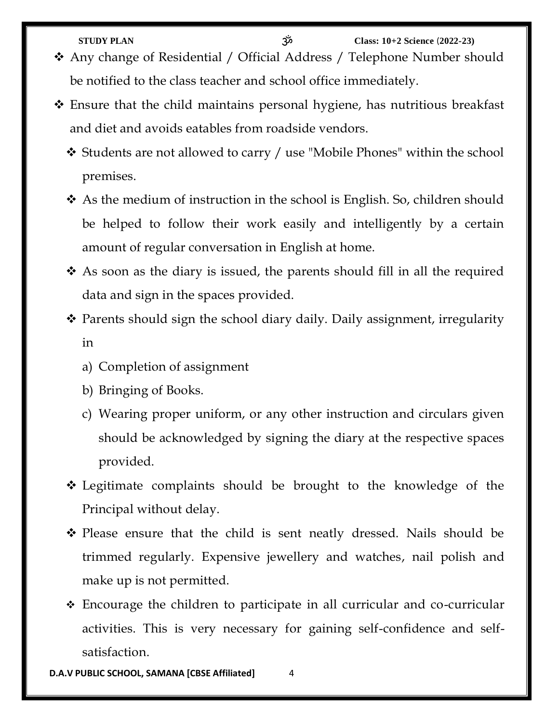**STUDY PLAN** ॐ **Class: 10+2 Science** (**2022-23)** Any change of Residential / Official Address / Telephone Number should be notified to the class teacher and school office immediately.

- Ensure that the child maintains personal hygiene, has nutritious breakfast and diet and avoids eatables from roadside vendors.
	- Students are not allowed to carry / use "Mobile Phones" within the school premises.
	- As the medium of instruction in the school is English. So, children should be helped to follow their work easily and intelligently by a certain amount of regular conversation in English at home.
	- As soon as the diary is issued, the parents should fill in all the required data and sign in the spaces provided.
	- Parents should sign the school diary daily. Daily assignment, irregularity in
		- a) Completion of assignment
		- b) Bringing of Books.
		- c) Wearing proper uniform, or any other instruction and circulars given should be acknowledged by signing the diary at the respective spaces provided.
	- Legitimate complaints should be brought to the knowledge of the Principal without delay.
	- Please ensure that the child is sent neatly dressed. Nails should be trimmed regularly. Expensive jewellery and watches, nail polish and make up is not permitted.
	- Encourage the children to participate in all curricular and co-curricular activities. This is very necessary for gaining self-confidence and selfsatisfaction.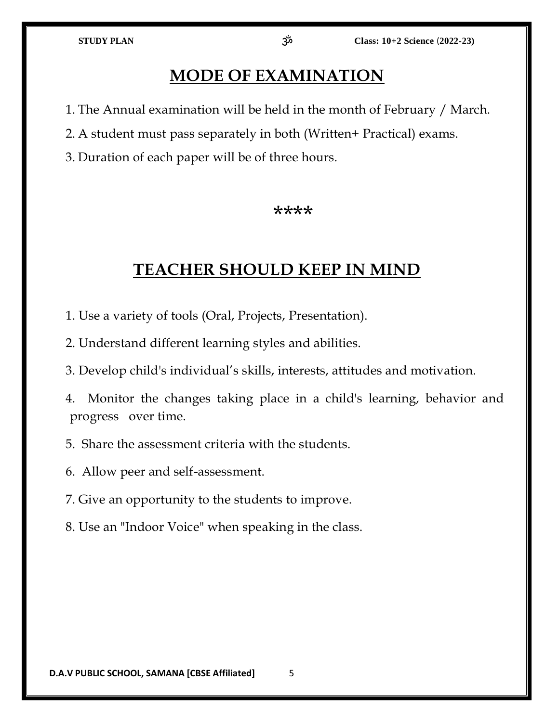# **MODE OF EXAMINATION**

- 1. The Annual examination will be held in the month of February / March.
- 2. A student must pass separately in both (Written+ Practical) exams.
- 3. Duration of each paper will be of three hours.

### \*\*\*\*

# **TEACHER SHOULD KEEP IN MIND**

- 1. Use a variety of tools (Oral, Projects, Presentation).
- 2. Understand different learning styles and abilities.
- 3. Develop child's individual's skills, interests, attitudes and motivation.
- 4. Monitor the changes taking place in a child's learning, behavior and progress over time.
- 5. Share the assessment criteria with the students.
- 6. Allow peer and self-assessment.
- 7. Give an opportunity to the students to improve.
- 8. Use an "Indoor Voice" when speaking in the class.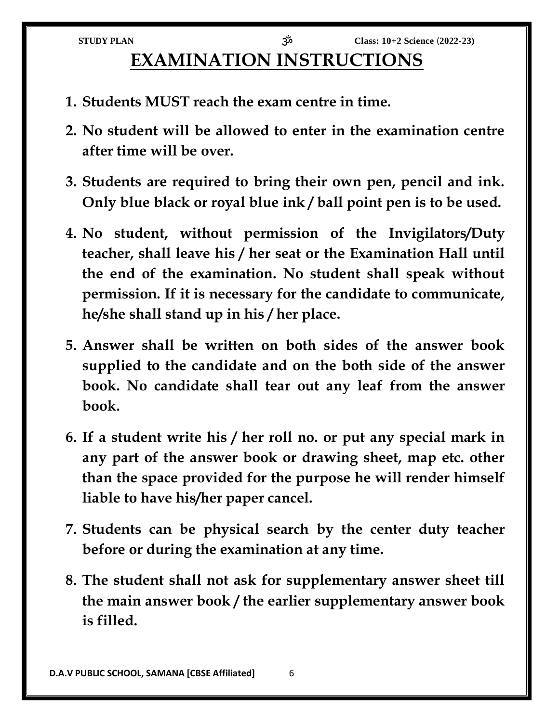# **EXAMINATION INSTRUCTIONS**

- **1. Students MUST reach the exam centre in time.**
- **2. No student will be allowed to enter in the examination centre after time will be over.**
- **3. Students are required to bring their own pen, pencil and ink. Only blue black or royal blue ink / ball point pen is to be used.**
- **4. No student, without permission of the Invigilators/Duty teacher, shall leave his / her seat or the Examination Hall until the end of the examination. No student shall speak without permission. If it is necessary for the candidate to communicate, he/she shall stand up in his / her place.**
- **5. Answer shall be written on both sides of the answer book supplied to the candidate and on the both side of the answer book. No candidate shall tear out any leaf from the answer book.**
- **6. If a student write his / her roll no. or put any special mark in any part of the answer book or drawing sheet, map etc. other than the space provided for the purpose he will render himself liable to have his/her paper cancel.**
- **7. Students can be physical search by the center duty teacher before or during the examination at any time.**
- **8. The student shall not ask for supplementary answer sheet till the main answer book / the earlier supplementary answer book is filled.**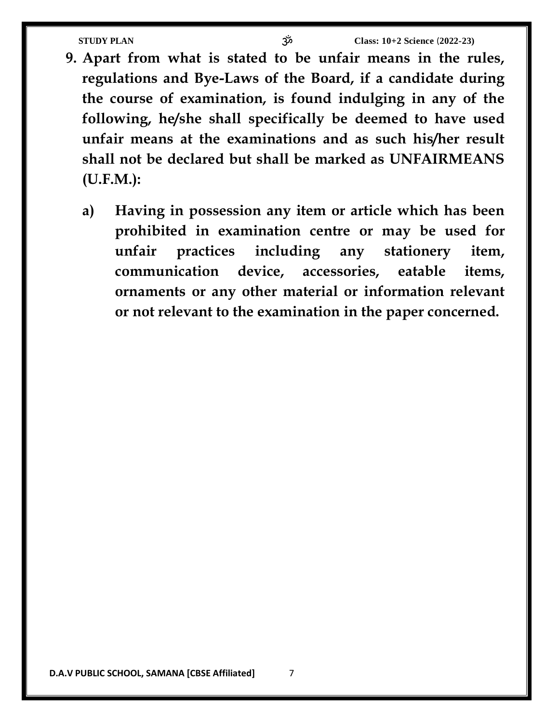- **9. Apart from what is stated to be unfair means in the rules, regulations and Bye-Laws of the Board, if a candidate during the course of examination, is found indulging in any of the following, he/she shall specifically be deemed to have used unfair means at the examinations and as such his/her result shall not be declared but shall be marked as UNFAIRMEANS (U.F.M.):**
	- **a) Having in possession any item or article which has been prohibited in examination centre or may be used for unfair practices including any stationery item, communication device, accessories, eatable items, ornaments or any other material or information relevant or not relevant to the examination in the paper concerned.**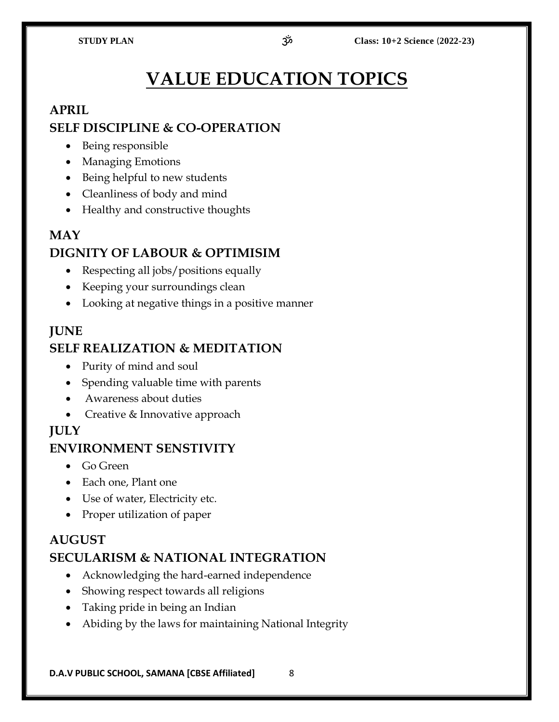# **VALUE EDUCATION TOPICS**

### **APRIL**

### **SELF DISCIPLINE & CO-OPERATION**

- Being responsible
- Managing Emotions
- Being helpful to new students
- Cleanliness of body and mind
- Healthy and constructive thoughts

### **MAY DIGNITY OF LABOUR & OPTIMISIM**

- Respecting all jobs/positions equally
- Keeping your surroundings clean
- Looking at negative things in a positive manner

### **JUNE**

### **SELF REALIZATION & MEDITATION**

- Purity of mind and soul
- Spending valuable time with parents
- Awareness about duties
- Creative & Innovative approach

# **JULY**

### **ENVIRONMENT SENSTIVITY**

- Go Green
- Each one, Plant one
- Use of water, Electricity etc.
- Proper utilization of paper

### **AUGUST**

### **SECULARISM & NATIONAL INTEGRATION**

- Acknowledging the hard-earned independence
- Showing respect towards all religions
- Taking pride in being an Indian
- Abiding by the laws for maintaining National Integrity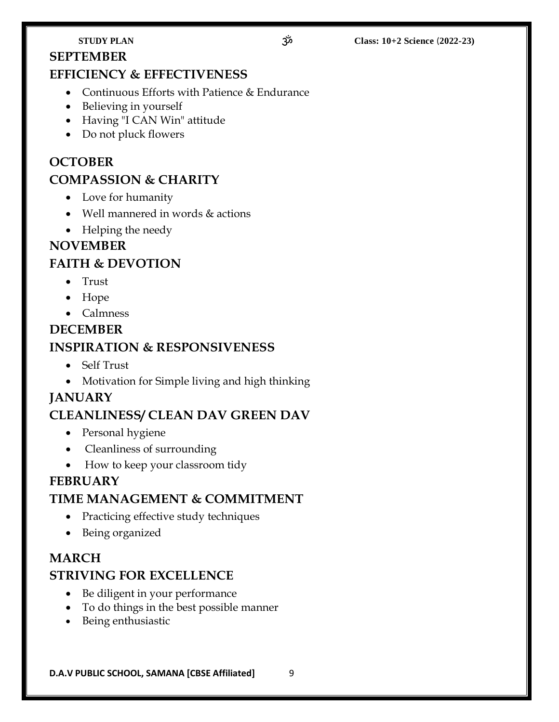# **SEPTEMBER**

### **EFFICIENCY & EFFECTIVENESS**

- Continuous Efforts with Patience & Endurance
- Believing in yourself
- Having "I CAN Win" attitude
- Do not pluck flowers

# **OCTOBER COMPASSION & CHARITY**

- Love for humanity
- Well mannered in words & actions
- Helping the needy

### **NOVEMBER**

### **FAITH & DEVOTION**

- Trust
- Hope
- Calmness

# **DECEMBER INSPIRATION & RESPONSIVENESS**

- Self Trust
- Motivation for Simple living and high thinking

### **JANUARY**

### **CLEANLINESS/ CLEAN DAV GREEN DAV**

- Personal hygiene
- Cleanliness of surrounding
- How to keep your classroom tidy

### **FEBRUARY**

### **TIME MANAGEMENT & COMMITMENT**

- Practicing effective study techniques
- Being organized

### **MARCH**

### **STRIVING FOR EXCELLENCE**

- Be diligent in your performance
- To do things in the best possible manner
- Being enthusiastic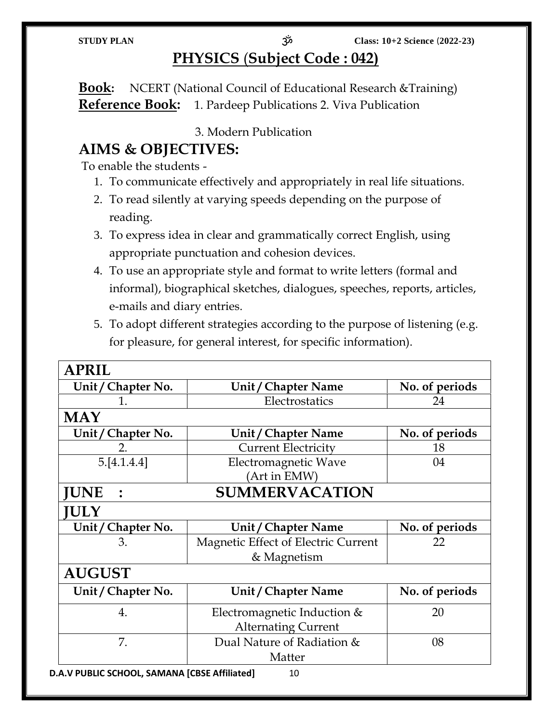# **PHYSICS** (**Subject Code : 042)**

**Book:** NCERT (National Council of Educational Research &Training) **Reference Book:** 1. Pardeep Publications 2. Viva Publication

3. Modern Publication

# **AIMS & OBJECTIVES:**

To enable the students -

- 1. To communicate effectively and appropriately in real life situations.
- 2. To read silently at varying speeds depending on the purpose of reading.
- 3. To express idea in clear and grammatically correct English, using appropriate punctuation and cohesion devices.
- 4. To use an appropriate style and format to write letters (formal and informal), biographical sketches, dialogues, speeches, reports, articles, e-mails and diary entries.
- 5. To adopt different strategies according to the purpose of listening (e.g. for pleasure, for general interest, for specific information).

| <b>APRIL</b>                        |                                     |                |
|-------------------------------------|-------------------------------------|----------------|
| Unit / Chapter No.                  | Unit / Chapter Name                 | No. of periods |
|                                     | Electrostatics<br>24                |                |
| <b>MAY</b>                          |                                     |                |
| Unit / Chapter No.                  | Unit / Chapter Name                 | No. of periods |
| 2.                                  | <b>Current Electricity</b>          | 18             |
| 5.[4.1.4.4]                         | Electromagnetic Wave                | 04             |
|                                     | (Art in EMW)                        |                |
| <b>SUMMERVACATION</b><br><b>UNE</b> |                                     |                |
| <b>ULY</b>                          |                                     |                |
| Unit / Chapter No.                  | Unit / Chapter Name                 | No. of periods |
| 3.                                  | Magnetic Effect of Electric Current | 22             |
|                                     | & Magnetism                         |                |
| <b>AUGUST</b>                       |                                     |                |
| Unit / Chapter No.                  | Unit / Chapter Name                 | No. of periods |
| 4.                                  | Electromagnetic Induction &         | 20             |
|                                     | <b>Alternating Current</b>          |                |
| 7.                                  | Dual Nature of Radiation &          | 08             |
|                                     |                                     |                |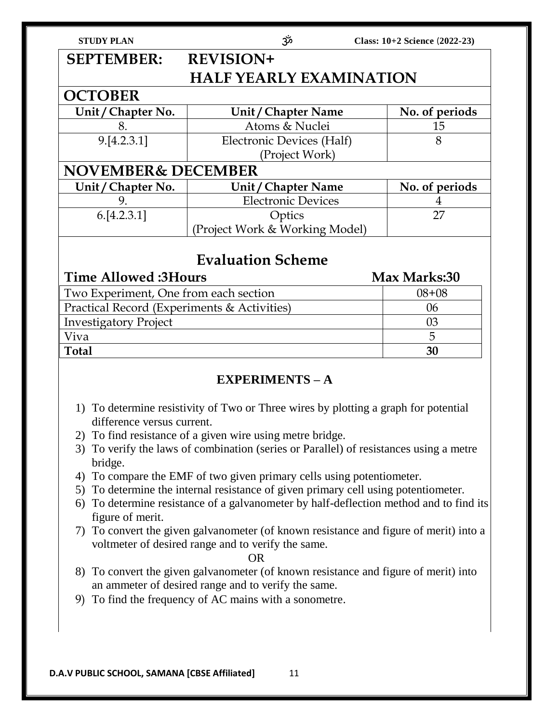| <b>STUDY PLAN</b>              | ೲڋ                             | Class: 10+2 Science (2022-23) |  |
|--------------------------------|--------------------------------|-------------------------------|--|
| <b>SEPTEMBER:</b>              | <b>REVISION+</b>               |                               |  |
| <b>HALF YEARLY EXAMINATION</b> |                                |                               |  |
| <b>OCTOBER</b>                 |                                |                               |  |
| Unit / Chapter No.             | Unit / Chapter Name            | No. of periods                |  |
| 8.                             | Atoms & Nuclei                 | 15                            |  |
| 9.[4.2.3.1]                    | Electronic Devices (Half)      | 8                             |  |
|                                | (Project Work)                 |                               |  |
| <b>NOVEMBER&amp; DECEMBER</b>  |                                |                               |  |
| Unit / Chapter No.             | Unit / Chapter Name            | No. of periods                |  |
| 9.                             | <b>Electronic Devices</b>      | 4                             |  |
| 6.[4.2.3.1]                    | Optics                         | 27                            |  |
|                                | (Project Work & Working Model) |                               |  |
|                                |                                |                               |  |

# **Evaluation Scheme**

| <b>Time Allowed:3Hours</b>                  | Max Marks:30 |
|---------------------------------------------|--------------|
| Two Experiment, One from each section       | $08 + 08$    |
| Practical Record (Experiments & Activities) | 06           |
| <b>Investigatory Project</b>                | 03           |
| Viva                                        | 5            |
| <b>Total</b>                                | 30           |

### **EXPERIMENTS – A**

- 1) To determine resistivity of Two or Three wires by plotting a graph for potential difference versus current.
- 2) To find resistance of a given wire using metre bridge.
- 3) To verify the laws of combination (series or Parallel) of resistances using a metre bridge.
- 4) To compare the EMF of two given primary cells using potentiometer.
- 5) To determine the internal resistance of given primary cell using potentiometer.
- 6) To determine resistance of a galvanometer by half-deflection method and to find its figure of merit.
- 7) To convert the given galvanometer (of known resistance and figure of merit) into a voltmeter of desired range and to verify the same.

OR

- 8) To convert the given galvanometer (of known resistance and figure of merit) into an ammeter of desired range and to verify the same.
- 9) To find the frequency of AC mains with a sonometre.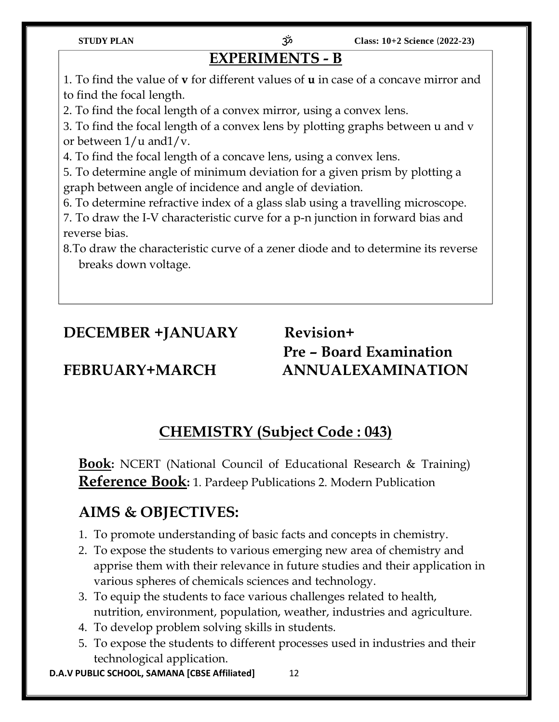# **EXPERIMENTS - B**

1. To find the value of **v** for different values of **u** in case of a concave mirror and to find the focal length.

2. To find the focal length of a convex mirror, using a convex lens.

3. To find the focal length of a convex lens by plotting graphs between u and v or between  $1/u$  and  $1/v$ .

4. To find the focal length of a concave lens, using a convex lens.

5. To determine angle of minimum deviation for a given prism by plotting a graph between angle of incidence and angle of deviation.

6. To determine refractive index of a glass slab using a travelling microscope.

7. To draw the I-V characteristic curve for a p-n junction in forward bias and reverse bias.

8.To draw the characteristic curve of a zener diode and to determine its reverse breaks down voltage.

# **DECEMBER +JANUARY Revision+**

**Pre – Board Examination FEBRUARY+MARCH ANNUALEXAMINATION**

# **CHEMISTRY (Subject Code : 043)**

**Book:** NCERT (National Council of Educational Research & Training) **Reference Book:** 1. Pardeep Publications 2. Modern Publication

# **AIMS & OBJECTIVES:**

- 1. To promote understanding of basic facts and concepts in chemistry.
- 2. To expose the students to various emerging new area of chemistry and apprise them with their relevance in future studies and their application in various spheres of chemicals sciences and technology.
- 3. To equip the students to face various challenges related to health, nutrition, environment, population, weather, industries and agriculture.
- 4. To develop problem solving skills in students.
- 5. To expose the students to different processes used in industries and their technological application.

**D.A.V PUBLIC SCHOOL, SAMANA [CBSE Affiliated]** 12

**STUDY PLAN** ॐ **Class: 10+2 Science** (**2022-23)**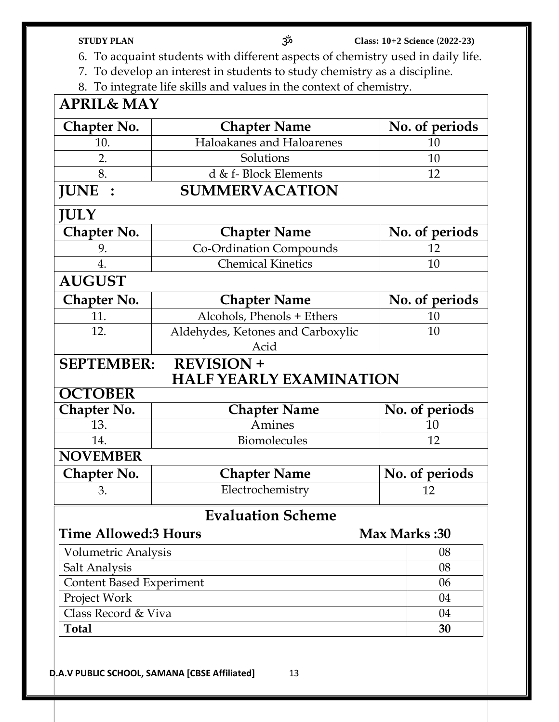- **STUDY PLAN** ॐ **Class: 10+2 Science** (**2022-23)**
- 6. To acquaint students with different aspects of chemistry used in daily life.
- 7. To develop an interest in students to study chemistry as a discipline.
- 8. To integrate life skills and values in the context of chemistry.

| <b>APRIL&amp; MAY</b>                              |                                                     |                |
|----------------------------------------------------|-----------------------------------------------------|----------------|
| Chapter No.                                        | <b>Chapter Name</b>                                 | No. of periods |
| 10.                                                | Haloakanes and Haloarenes                           | 10             |
| 2.                                                 | Solutions                                           | 10             |
| 8.                                                 | d & f- Block Elements                               | 12             |
| <b>JUNE</b>                                        | <b>SUMMERVACATION</b>                               |                |
| <b>JULY</b>                                        |                                                     |                |
| <b>Chapter No.</b>                                 | <b>Chapter Name</b>                                 | No. of periods |
| 9.                                                 | Co-Ordination Compounds                             | 12             |
| 4.                                                 | <b>Chemical Kinetics</b>                            | 10             |
| <b>AUGUST</b>                                      |                                                     |                |
| Chapter No.                                        | <b>Chapter Name</b>                                 | No. of periods |
| 11.                                                | Alcohols, Phenols + Ethers                          | 10             |
| 12.                                                | Aldehydes, Ketones and Carboxylic                   | 10             |
|                                                    | Acid                                                |                |
| <b>SEPTEMBER:</b>                                  | <b>REVISION +</b><br><b>HALF YEARLY EXAMINATION</b> |                |
| <b>OCTOBER</b>                                     |                                                     |                |
| Chapter No.                                        | <b>Chapter Name</b>                                 | No. of periods |
| 13.                                                | Amines                                              | 10             |
| 14.                                                | Biomolecules                                        | 12             |
| <b>NOVEMBER</b>                                    |                                                     |                |
| Chapter No.                                        | <b>Chapter Name</b>                                 | No. of periods |
| 3.                                                 | Electrochemistry                                    | 12             |
|                                                    | <b>Evaluation Scheme</b>                            |                |
| <b>Time Allowed:3 Hours</b><br><b>Max Marks:30</b> |                                                     |                |
| Volumetric Analysis                                |                                                     | 08             |
| Salt Analysis                                      |                                                     | 08             |
| <b>Content Based Experiment</b>                    | 06                                                  |                |
| Project Work                                       |                                                     | 04             |
| Class Record & Viva                                |                                                     | 04             |
| <b>Total</b>                                       | 30                                                  |                |
|                                                    |                                                     |                |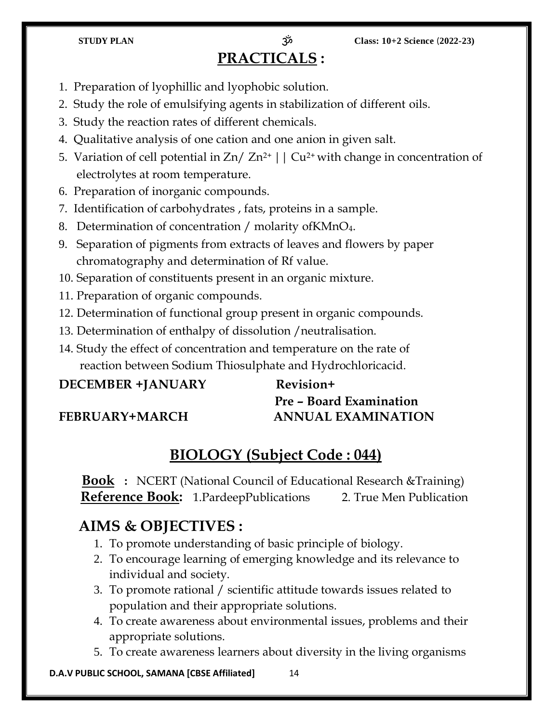# **PRACTICALS :**

**STUDY PLAN** ॐ **Class: 10+2 Science** (**2022-23)**

- 1. Preparation of lyophillic and lyophobic solution.
- 2. Study the role of emulsifying agents in stabilization of different oils.
- 3. Study the reaction rates of different chemicals.
- 4. Qualitative analysis of one cation and one anion in given salt.
- 5. Variation of cell potential in  $Zn/Zn^{2+}$  |  $|$  Cu<sup>2+</sup> with change in concentration of electrolytes at room temperature.
- 6. Preparation of inorganic compounds.
- 7. Identification of carbohydrates , fats, proteins in a sample.
- 8. Determination of concentration / molarity ofKMnO4.
- 9. Separation of pigments from extracts of leaves and flowers by paper chromatography and determination of Rf value.
- 10. Separation of constituents present in an organic mixture.
- 11. Preparation of organic compounds.
- 12. Determination of functional group present in organic compounds.
- 13. Determination of enthalpy of dissolution /neutralisation.
- 14. Study the effect of concentration and temperature on the rate of reaction between Sodium Thiosulphate and Hydrochloricacid.

### **DECEMBER +JANUARY Revision+**

# **Pre – Board Examination FEBRUARY+MARCH ANNUAL EXAMINATION**

# **BIOLOGY (Subject Code : 044)**

**Book :** NCERT (National Council of Educational Research &Training) **Reference Book:** 1. PardeepPublications 2. True Men Publication

### **AIMS & OBJECTIVES :**

- 1. To promote understanding of basic principle of biology.
- 2. To encourage learning of emerging knowledge and its relevance to individual and society.
- 3. To promote rational / scientific attitude towards issues related to population and their appropriate solutions.
- 4. To create awareness about environmental issues, problems and their appropriate solutions.
- 5. To create awareness learners about diversity in the living organisms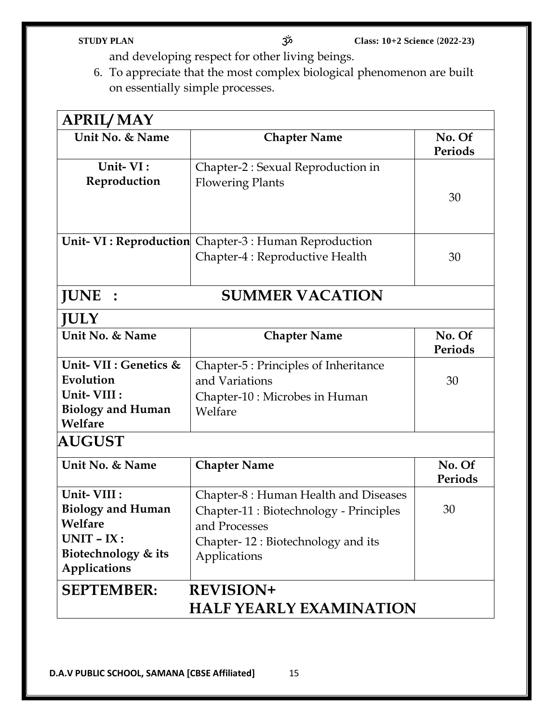- and developing respect for other living beings.
- 6. To appreciate that the most complex biological phenomenon are built on essentially simple processes.

| <b>APRIL/MAY</b>               |                                                              |                          |  |  |
|--------------------------------|--------------------------------------------------------------|--------------------------|--|--|
| Unit No. & Name                | <b>Chapter Name</b>                                          | No. Of<br><b>Periods</b> |  |  |
| Unit-VI:                       | Chapter-2 : Sexual Reproduction in                           |                          |  |  |
| Reproduction                   | <b>Flowering Plants</b>                                      |                          |  |  |
|                                |                                                              | 30                       |  |  |
|                                |                                                              |                          |  |  |
|                                | <b>Unit- VI: Reproduction</b> Chapter-3 : Human Reproduction |                          |  |  |
|                                | Chapter-4 : Reproductive Health                              | 30                       |  |  |
|                                |                                                              |                          |  |  |
| <b>JUNE</b><br>$\ddot{\cdot}$  | <b>SUMMER VACATION</b>                                       |                          |  |  |
| <b>JULY</b>                    |                                                              |                          |  |  |
| Unit No. & Name                | <b>Chapter Name</b>                                          | No. Of<br>Periods        |  |  |
| Unit- VII : Genetics &         |                                                              |                          |  |  |
| Evolution                      | Chapter-5 : Principles of Inheritance<br>and Variations      | 30                       |  |  |
| Unit-VIII :                    | Chapter-10 : Microbes in Human                               |                          |  |  |
| <b>Biology and Human</b>       | Welfare                                                      |                          |  |  |
| Welfare                        |                                                              |                          |  |  |
| <b>AUGUST</b>                  |                                                              |                          |  |  |
| Unit No. & Name                | <b>Chapter Name</b>                                          | No. Of<br>Periods        |  |  |
| Unit-VIII :                    | Chapter-8 : Human Health and Diseases                        |                          |  |  |
| <b>Biology and Human</b>       | Chapter-11 : Biotechnology - Principles                      | 30                       |  |  |
| Welfare                        | and Processes                                                |                          |  |  |
| $UNIT - IX:$                   | Chapter-12: Biotechnology and its                            |                          |  |  |
| Biotechnology & its            | Applications                                                 |                          |  |  |
| <b>Applications</b>            |                                                              |                          |  |  |
| <b>SEPTEMBER:</b>              | <b>REVISION+</b>                                             |                          |  |  |
| <b>HALF YEARLY EXAMINATION</b> |                                                              |                          |  |  |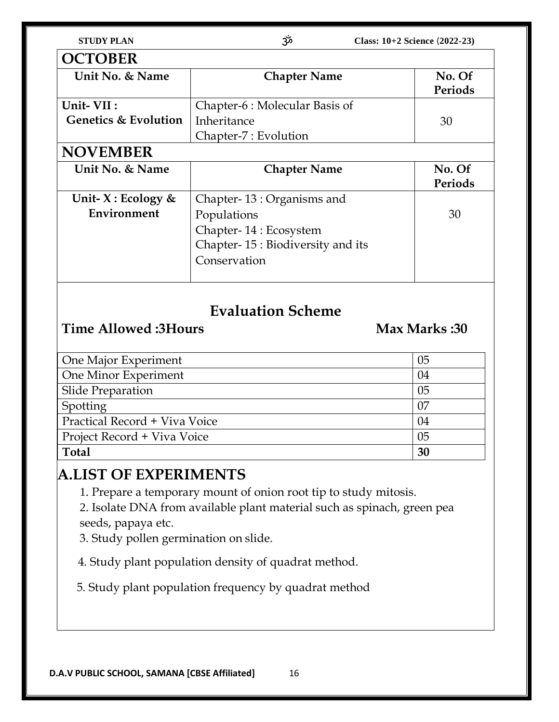| <b>STUDY PLAN</b> |
|-------------------|
|-------------------|

| <b>OCTOBER</b>                  |                                  |         |  |
|---------------------------------|----------------------------------|---------|--|
| Unit No. & Name                 | <b>Chapter Name</b>              | No. Of  |  |
|                                 |                                  | Periods |  |
| Unit-VII:                       | Chapter-6 : Molecular Basis of   |         |  |
| <b>Genetics &amp; Evolution</b> | Inheritance                      | 30      |  |
|                                 | Chapter-7 : Evolution            |         |  |
| <b>NOVEMBER</b>                 |                                  |         |  |
| Unit No. & Name                 | <b>Chapter Name</b>              | No. Of  |  |
|                                 |                                  | Periods |  |
| Unit- $X:$ Ecology &            | Chapter-13: Organisms and        |         |  |
| Environment                     | Populations                      | 30      |  |
|                                 | Chapter-14 : Ecosystem           |         |  |
|                                 | Chapter-15: Biodiversity and its |         |  |
|                                 | Conservation                     |         |  |
|                                 |                                  |         |  |

# **Evaluation Scheme**

# **Time Allowed :3Hours Max Marks :30**

| One Major Experiment          | 05 |
|-------------------------------|----|
| One Minor Experiment          | 04 |
| <b>Slide Preparation</b>      | 05 |
| Spotting                      | 07 |
| Practical Record + Viva Voice | 04 |
| Project Record + Viva Voice   | 05 |
| <b>Total</b>                  | 30 |

# **A.LIST OF EXPERIMENTS**

1. Prepare a temporary mount of onion root tip to study mitosis.

2. Isolate DNA from available plant material such as spinach, green pea seeds, papaya etc.

3. Study pollen germination on slide.

4. Study plant population density of quadrat method.

5. Study plant population frequency by quadrat method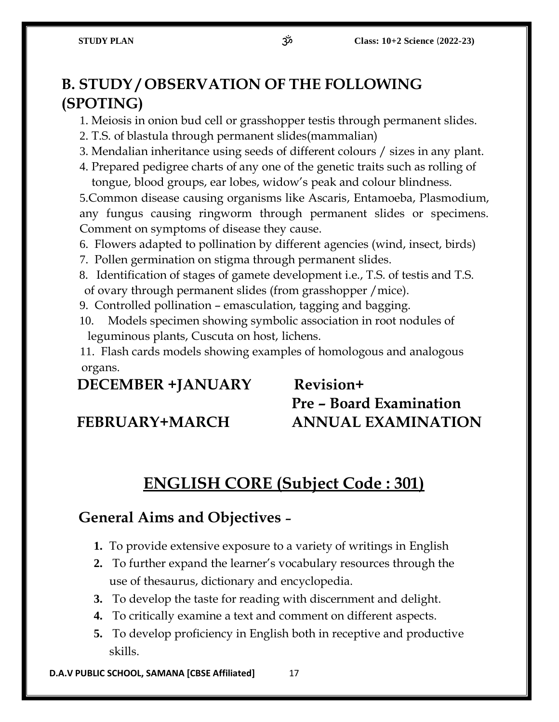# **B. STUDY / OBSERVATION OF THE FOLLOWING (SPOTING)**

1. Meiosis in onion bud cell or grasshopper testis through permanent slides.

- 2. T.S. of blastula through permanent slides(mammalian)
- 3. Mendalian inheritance using seeds of different colours / sizes in any plant.
- 4. Prepared pedigree charts of any one of the genetic traits such as rolling of tongue, blood groups, ear lobes, widow's peak and colour blindness.

5.Common disease causing organisms like Ascaris, Entamoeba, Plasmodium, any fungus causing ringworm through permanent slides or specimens. Comment on symptoms of disease they cause.

- 6. Flowers adapted to pollination by different agencies (wind, insect, birds)
- 7. Pollen germination on stigma through permanent slides.
- 8. Identification of stages of gamete development i.e., T.S. of testis and T.S. of ovary through permanent slides (from grasshopper /mice).
- 9. Controlled pollination emasculation, tagging and bagging.
- 10. Models specimen showing symbolic association in root nodules of leguminous plants, Cuscuta on host, lichens.

11. Flash cards models showing examples of homologous and analogous organs.

### **DECEMBER +JANUARY Revision+**

# **Pre – Board Examination FEBRUARY+MARCH ANNUAL EXAMINATION**

# **ENGLISH CORE (Subject Code : 301)**

### **General Aims and Objectives –**

- **1.** To provide extensive exposure to a variety of writings in English
- **2.** To further expand the learner's vocabulary resources through the use of thesaurus, dictionary and encyclopedia.
- **3.** To develop the taste for reading with discernment and delight.
- **4.** To critically examine a text and comment on different aspects.
- **5.** To develop proficiency in English both in receptive and productive skills.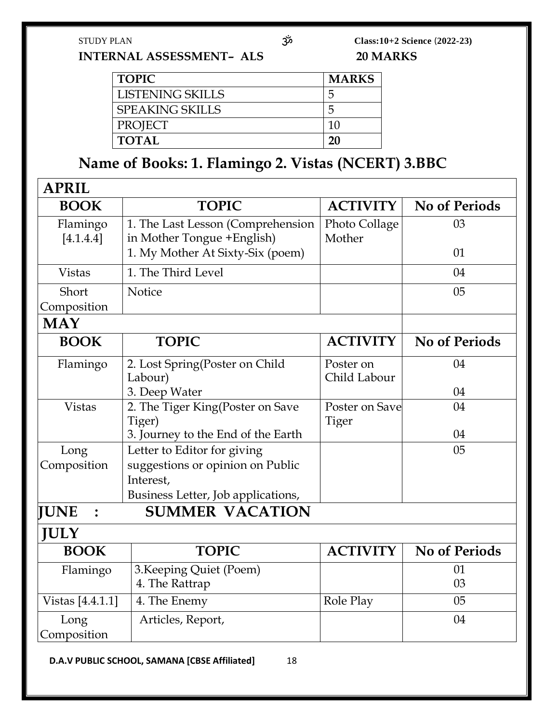STUDY PLAN ॐ **Class:10+2 Science** (**2022-23) INTERNAL ASSESSMENT– ALS 20 MARKS**

| <b>TOPIC</b>            | <b>MARKS</b> |
|-------------------------|--------------|
| <b>LISTENING SKILLS</b> | .ר           |
| <b>SPEAKING SKILLS</b>  | .,           |
| <b>PROJECT</b>          |              |
| <b>TOTAL</b>            | 20           |

# **Name of Books: 1. Flamingo 2. Vistas (NCERT) 3.BBC**

| <b>APRIL</b>          |                                                                  |                           |                      |
|-----------------------|------------------------------------------------------------------|---------------------------|----------------------|
| <b>BOOK</b>           | <b>TOPIC</b>                                                     | <b>ACTIVITY</b>           | <b>No of Periods</b> |
| Flamingo<br>[4.1.4.4] | 1. The Last Lesson (Comprehension<br>in Mother Tongue + English) | Photo Collage<br>Mother   | 03                   |
|                       | 1. My Mother At Sixty-Six (poem)                                 |                           | 01                   |
| <b>Vistas</b>         | 1. The Third Level                                               |                           | 04                   |
| Short                 | Notice                                                           |                           | 0 <sub>5</sub>       |
| Composition           |                                                                  |                           |                      |
| <b>MAY</b>            |                                                                  |                           |                      |
| <b>BOOK</b>           | <b>TOPIC</b>                                                     | <b>ACTIVITY</b>           | <b>No of Periods</b> |
| Flamingo              | 2. Lost Spring(Poster on Child<br>Labour)                        | Poster on<br>Child Labour | 04                   |
|                       | 3. Deep Water                                                    |                           | 04                   |
| <b>Vistas</b>         | 2. The Tiger King(Poster on Save<br>Tiger)                       | Poster on Save<br>Tiger   | 04                   |
|                       | 3. Journey to the End of the Earth                               |                           | 04                   |
| Long<br>Composition   | Letter to Editor for giving<br>suggestions or opinion on Public  |                           | 0 <sub>5</sub>       |
|                       | Interest,                                                        |                           |                      |
|                       | Business Letter, Job applications,                               |                           |                      |
| <b>JUNE</b>           | <b>SUMMER VACATION</b>                                           |                           |                      |
| <b>JULY</b>           |                                                                  |                           |                      |
| <b>BOOK</b>           | <b>TOPIC</b>                                                     | <b>ACTIVITY</b>           | <b>No of Periods</b> |
| Flamingo              | 3. Keeping Quiet (Poem)<br>4. The Rattrap                        |                           | 01<br>03             |
| Vistas [4.4.1.1]      | 4. The Enemy                                                     | Role Play                 | 05                   |
| Long<br>Composition   | Articles, Report,                                                |                           | 04                   |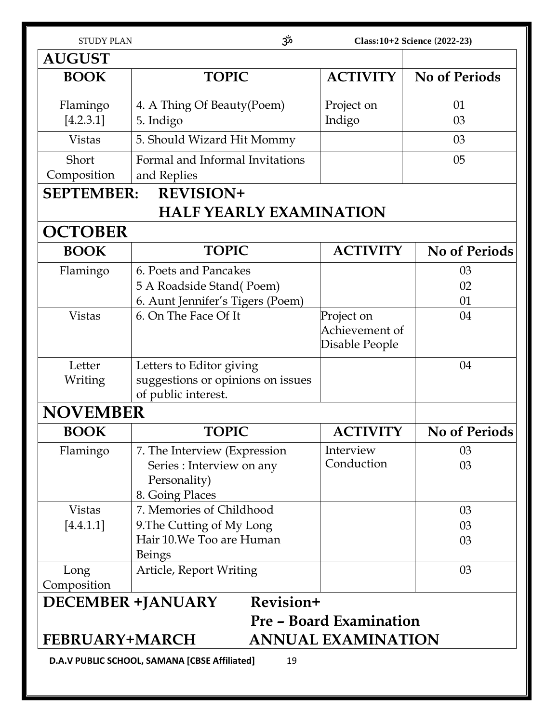| <b>STUDY PLAN</b>     | مرّد                                                                                          |                                                | Class: 10+2 Science (2022-23) |
|-----------------------|-----------------------------------------------------------------------------------------------|------------------------------------------------|-------------------------------|
| <b>AUGUST</b>         |                                                                                               |                                                |                               |
| <b>BOOK</b>           | <b>TOPIC</b>                                                                                  | <b>ACTIVITY</b>                                | <b>No of Periods</b>          |
| Flamingo<br>[4.2.3.1] | 4. A Thing Of Beauty (Poem)<br>5. Indigo                                                      | Project on<br>Indigo                           | 01<br>03                      |
| <b>Vistas</b>         | 5. Should Wizard Hit Mommy                                                                    |                                                | 03                            |
| Short<br>Composition  | Formal and Informal Invitations<br>and Replies                                                |                                                | 05                            |
| <b>SEPTEMBER:</b>     | <b>REVISION+</b>                                                                              |                                                |                               |
|                       | <b>HALF YEARLY EXAMINATION</b>                                                                |                                                |                               |
| <b>OCTOBER</b>        |                                                                                               |                                                |                               |
| <b>BOOK</b>           | <b>TOPIC</b>                                                                                  | <b>ACTIVITY</b>                                | <b>No of Periods</b>          |
| Flamingo              | 6. Poets and Pancakes<br>5 A Roadside Stand(Poem)<br>6. Aunt Jennifer's Tigers (Poem)         |                                                | 03<br>02<br>01                |
| <b>Vistas</b>         | 6. On The Face Of It                                                                          | Project on<br>Achievement of<br>Disable People | 04                            |
| Letter<br>Writing     | Letters to Editor giving<br>suggestions or opinions on issues<br>of public interest.          |                                                | 04                            |
| <b>NOVEMBER</b>       |                                                                                               |                                                |                               |
| <b>BOOK</b>           | TOPIC                                                                                         | ACTIVITY                                       | No of Periods                 |
| Flamingo              | 7. The Interview (Expression)<br>Series : Interview on any<br>Personality)<br>8. Going Places | Interview<br>Conduction                        | 03<br>03                      |
| <b>Vistas</b>         | 7. Memories of Childhood                                                                      |                                                | 03                            |
| [4.4.1.1]             | 9. The Cutting of My Long<br>Hair 10. We Too are Human<br><b>Beings</b>                       |                                                | 03<br>03                      |
| Long<br>Composition   | Article, Report Writing                                                                       |                                                | 03                            |
|                       | Revision+<br><b>DECEMBER +JANUARY</b>                                                         |                                                |                               |
|                       |                                                                                               | <b>Pre - Board Examination</b>                 |                               |
| <b>FEBRUARY+MARCH</b> |                                                                                               | <b>ANNUAL EXAMINATION</b>                      |                               |
|                       | D.A.V PUBLIC SCHOOL, SAMANA [CBSE Affiliated]<br>19                                           |                                                |                               |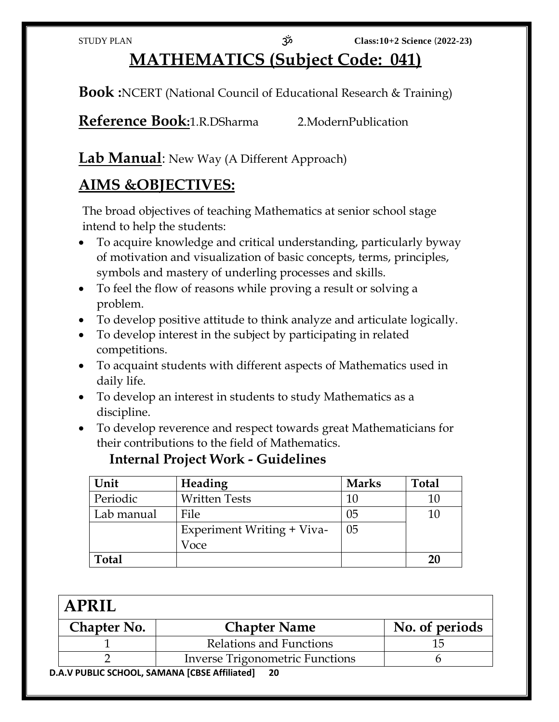# **MATHEMATICS (Subject Code: 041)**

**Book :**NCERT (National Council of Educational Research & Training)

**Reference Book:**1.R.DSharma 2.ModernPublication

# **Lab Manual**: New Way (A Different Approach)

# **AIMS &OBJECTIVES:**

The broad objectives of teaching Mathematics at senior school stage intend to help the students:

- To acquire knowledge and critical understanding, particularly byway of motivation and visualization of basic concepts, terms, principles, symbols and mastery of underling processes and skills.
- To feel the flow of reasons while proving a result or solving a problem.
- To develop positive attitude to think analyze and articulate logically.
- To develop interest in the subject by participating in related competitions.
- To acquaint students with different aspects of Mathematics used in daily life.
- To develop an interest in students to study Mathematics as a discipline.
- To develop reverence and respect towards great Mathematicians for their contributions to the field of Mathematics.

| Unit       | Heading                    | <b>Marks</b> | <b>Total</b> |
|------------|----------------------------|--------------|--------------|
| Periodic   | <b>Written Tests</b>       | 10           | 10           |
| Lab manual | File                       | 05           | 10           |
|            | Experiment Writing + Viva- | 05           |              |
|            | Voce                       |              |              |
| Total      |                            |              | 20           |

### **Internal Project Work - Guidelines**

| <b>APRIL</b> |                                             |                |
|--------------|---------------------------------------------|----------------|
| Chapter No.  | <b>Chapter Name</b>                         | No. of periods |
|              | Relations and Functions                     |                |
|              | Inverse Trigonometric Functions             |                |
|              | A V DURLIC SCHOOL, SAMANA [CRSE Affiliated] |                |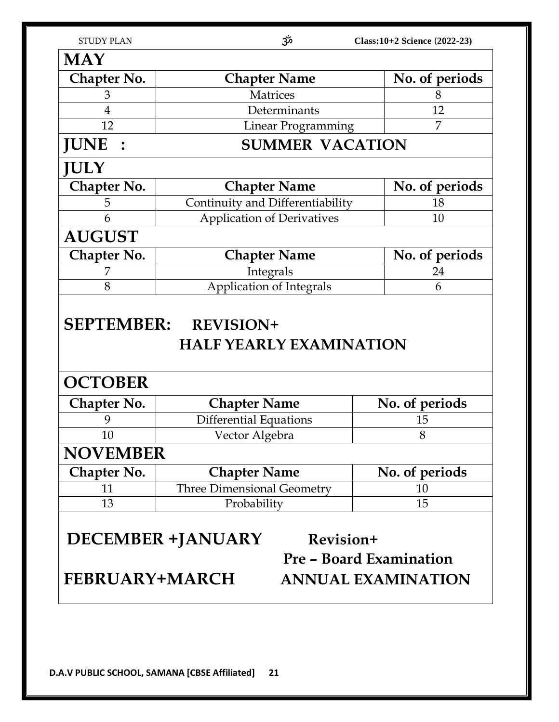| <b>STUDY PLAN</b> |  |  |
|-------------------|--|--|
|                   |  |  |

| <b>Chapter Name</b>               | No. of periods                                                                                                                                      |
|-----------------------------------|-----------------------------------------------------------------------------------------------------------------------------------------------------|
| <b>Matrices</b>                   | 8                                                                                                                                                   |
| Determinants                      | 12                                                                                                                                                  |
| Linear Programming                | 7                                                                                                                                                   |
| <b>SUMMER VACATION</b>            |                                                                                                                                                     |
|                                   |                                                                                                                                                     |
| <b>Chapter Name</b>               | No. of periods                                                                                                                                      |
| Continuity and Differentiability  | 18                                                                                                                                                  |
| <b>Application of Derivatives</b> | 10                                                                                                                                                  |
|                                   |                                                                                                                                                     |
| <b>Chapter Name</b>               | No. of periods                                                                                                                                      |
| Integrals                         | 24                                                                                                                                                  |
| Application of Integrals          | 6                                                                                                                                                   |
|                                   |                                                                                                                                                     |
|                                   |                                                                                                                                                     |
|                                   | No. of periods                                                                                                                                      |
|                                   | 15                                                                                                                                                  |
|                                   | 8                                                                                                                                                   |
|                                   |                                                                                                                                                     |
| <b>Chapter Name</b>               | No. of periods                                                                                                                                      |
| <b>Three Dimensional Geometry</b> | 10                                                                                                                                                  |
| Probability                       |                                                                                                                                                     |
|                                   | 15                                                                                                                                                  |
|                                   | SEPTEMBER: REVISION+<br><b>HALF YEARLY EXAMINATION</b><br><b>Chapter Name</b><br><b>Differential Equations</b><br>Vector Algebra<br><b>NOVEMBER</b> |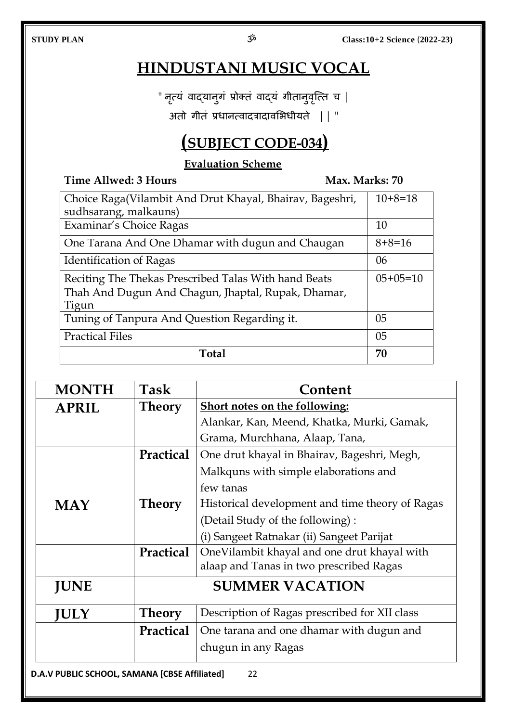# **HINDUSTANI MUSIC VOCAL**

" नृत्यं वाद्यानुगं प्रोक्तं वाद्यं गीतानुवृत्ति च |

अतो गीतं प्रधानत्वादत्रादावभिधीयते || "

# **(SUBJECT CODE-034)**

### **Evaluation Scheme**

**Time Allwed: 3 Hours Max. Marks: 70**

| Choice Raga(Vilambit And Drut Khayal, Bhairav, Bageshri, | $10+8=18$      |
|----------------------------------------------------------|----------------|
| sudhsarang, malkauns)                                    |                |
| Examinar's Choice Ragas                                  | 10             |
| One Tarana And One Dhamar with dugun and Chaugan         | $8+8=16$       |
| <b>Identification of Ragas</b>                           | 06             |
| Reciting The Thekas Prescribed Talas With hand Beats     | $05+05=10$     |
| Thah And Dugun And Chagun, Jhaptal, Rupak, Dhamar,       |                |
| Tigun                                                    |                |
| Tuning of Tanpura And Question Regarding it.             | 0 <sub>5</sub> |
| <b>Practical Files</b>                                   | 0 <sub>5</sub> |
| Total                                                    | 70             |

| <b>MONTH</b>                                         | Task             | Content                                         |  |
|------------------------------------------------------|------------------|-------------------------------------------------|--|
| <b>APRIL</b>                                         | <b>Theory</b>    | Short notes on the following:                   |  |
|                                                      |                  | Alankar, Kan, Meend, Khatka, Murki, Gamak,      |  |
|                                                      |                  | Grama, Murchhana, Alaap, Tana,                  |  |
|                                                      | <b>Practical</b> | One drut khayal in Bhairav, Bageshri, Megh,     |  |
|                                                      |                  | Malkquns with simple elaborations and           |  |
|                                                      |                  | few tanas                                       |  |
| <b>MAY</b>                                           | Theory           | Historical development and time theory of Ragas |  |
|                                                      |                  | (Detail Study of the following):                |  |
|                                                      |                  | (i) Sangeet Ratnakar (ii) Sangeet Parijat       |  |
|                                                      | Practical        | OneVilambit khayal and one drut khayal with     |  |
|                                                      |                  | alaap and Tanas in two prescribed Ragas         |  |
| <b>JUNE</b>                                          |                  | <b>SUMMER VACATION</b>                          |  |
| <b>JULY</b>                                          | Theory           | Description of Ragas prescribed for XII class   |  |
|                                                      | <b>Practical</b> | One tarana and one dhamar with dugun and        |  |
|                                                      |                  | chugun in any Ragas                             |  |
| <b>D.A.V PUBLIC SCHOOL, SAMANA [CBSE Affiliated]</b> |                  | 22                                              |  |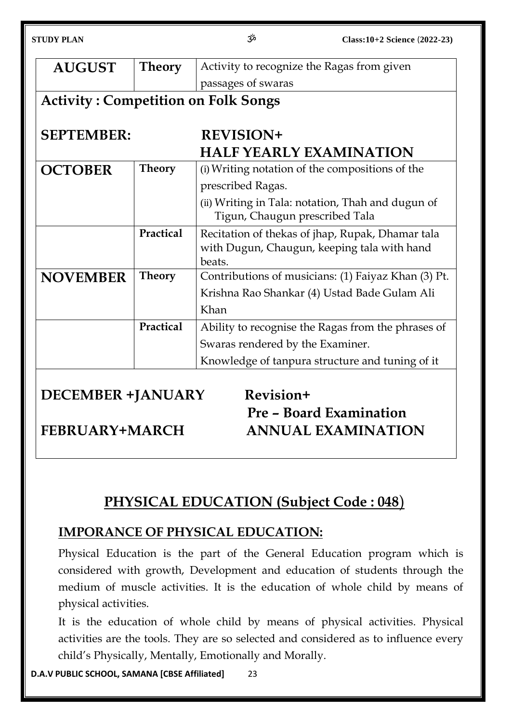| <b>STUDY PLAN</b>                          |               | مژح                                        | Class: 10+2 Science (2022-23)                                                                   |
|--------------------------------------------|---------------|--------------------------------------------|-------------------------------------------------------------------------------------------------|
| <b>AUGUST</b>                              | <b>Theory</b> | Activity to recognize the Ragas from given |                                                                                                 |
|                                            |               | passages of swaras                         |                                                                                                 |
| <b>Activity: Competition on Folk Songs</b> |               |                                            |                                                                                                 |
| <b>SEPTEMBER:</b>                          |               | <b>REVISION+</b>                           |                                                                                                 |
|                                            |               | <b>HALF YEARLY EXAMINATION</b>             |                                                                                                 |
| <b>OCTOBER</b>                             | <b>Theory</b> |                                            | (i) Writing notation of the compositions of the                                                 |
|                                            |               | prescribed Ragas.                          |                                                                                                 |
|                                            |               | Tigun, Chaugun prescribed Tala             | (ii) Writing in Tala: notation, Thah and dugun of                                               |
|                                            | Practical     | beats.                                     | Recitation of thekas of jhap, Rupak, Dhamar tala<br>with Dugun, Chaugun, keeping tala with hand |
| <b>NOVEMBER</b>                            | <b>Theory</b> |                                            | Contributions of musicians: (1) Faiyaz Khan (3) Pt.                                             |
|                                            |               |                                            | Krishna Rao Shankar (4) Ustad Bade Gulam Ali                                                    |
|                                            |               | Khan                                       |                                                                                                 |
|                                            | Practical     |                                            | Ability to recognise the Ragas from the phrases of                                              |
|                                            |               | Swaras rendered by the Examiner.           |                                                                                                 |
|                                            |               |                                            | Knowledge of tanpura structure and tuning of it                                                 |
|                                            |               |                                            |                                                                                                 |
| <b>DECEMBER +JANUARY</b>                   |               | Revision+                                  |                                                                                                 |
|                                            |               |                                            | <b>Pre - Board Examination</b>                                                                  |
|                                            |               |                                            |                                                                                                 |

**FEBRUARY+MARCH ANNUAL EXAMINATION**

# **PHYSICAL EDUCATION (Subject Code : 048**)

# **IMPORANCE OF PHYSICAL EDUCATION:**

Physical Education is the part of the General Education program which is considered with growth, Development and education of students through the medium of muscle activities. It is the education of whole child by means of physical activities.

It is the education of whole child by means of physical activities. Physical activities are the tools. They are so selected and considered as to influence every child's Physically, Mentally, Emotionally and Morally.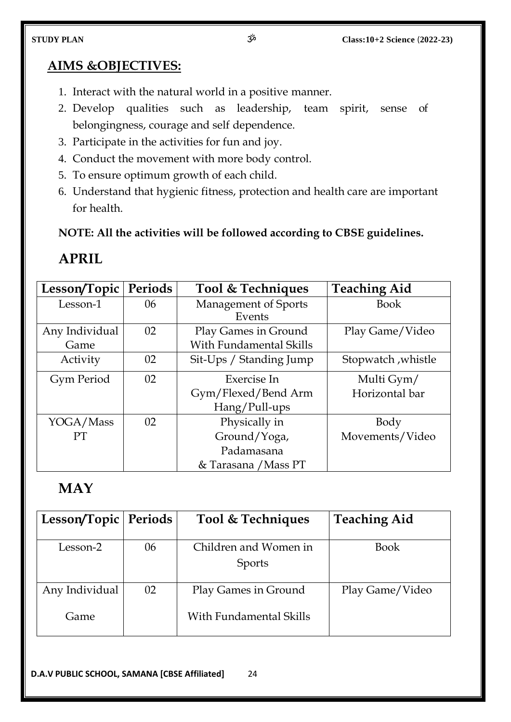### **AIMS &OBJECTIVES:**

- 1. Interact with the natural world in a positive manner.
- 2. Develop qualities such as leadership, team spirit, sense of belongingness, courage and self dependence.
- 3. Participate in the activities for fun and joy.
- 4. Conduct the movement with more body control.
- 5. To ensure optimum growth of each child.
- 6. Understand that hygienic fitness, protection and health care are important for health.

**NOTE: All the activities will be followed according to CBSE guidelines.**

# **APRIL**

| Lesson/Topic      | Periods | Tool & Techniques              | <b>Teaching Aid</b> |
|-------------------|---------|--------------------------------|---------------------|
| Lesson-1          | 06      | <b>Management of Sports</b>    | <b>Book</b>         |
|                   |         | Events                         |                     |
| Any Individual    | 02      | Play Games in Ground           | Play Game/Video     |
| Game              |         | <b>With Fundamental Skills</b> |                     |
| Activity          | 02      | Sit-Ups / Standing Jump        | Stopwatch, whistle  |
| <b>Gym Period</b> | 02      | Exercise In                    | Multi Gym/          |
|                   |         | Gym/Flexed/Bend Arm            | Horizontal bar      |
|                   |         | Hang/Pull-ups                  |                     |
| YOGA/Mass         | 02      | Physically in                  | Body                |
| <b>PT</b>         |         | Ground/Yoga,                   | Movements/Video     |
|                   |         | Padamasana                     |                     |
|                   |         | & Tarasana / Mass PT           |                     |

# **MAY**

| Lesson/Topic   Periods |    | Tool & Techniques                               | <b>Teaching Aid</b> |
|------------------------|----|-------------------------------------------------|---------------------|
| Lesson-2               | 06 | Children and Women in<br><b>Sports</b>          | <b>Book</b>         |
| Any Individual<br>Game | 02 | Play Games in Ground<br>With Fundamental Skills | Play Game/Video     |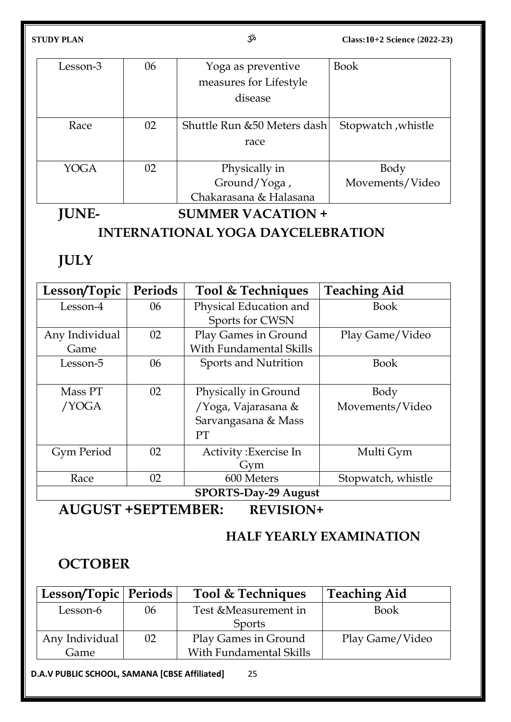| Lesson-3 | 06 | Yoga as preventive           | <b>Book</b>        |
|----------|----|------------------------------|--------------------|
|          |    | measures for Lifestyle       |                    |
|          |    | disease                      |                    |
|          |    |                              |                    |
| Race     | 02 | Shuttle Run & 50 Meters dash | Stopwatch, whistle |
|          |    | race                         |                    |
|          |    |                              |                    |
| YOGA     | 02 | Physically in                | Body               |
|          |    | Ground/Yoga,                 | Movements/Video    |
|          |    | Chakarasana & Halasana       |                    |

# **JUNE- SUMMER VACATION +**

### **INTERNATIONAL YOGA DAYCELEBRATION**

# **JULY**

| Lesson/Topic                | <b>Periods</b> | Tool & Techniques       | <b>Teaching Aid</b> |  |
|-----------------------------|----------------|-------------------------|---------------------|--|
| Lesson-4                    | 06             | Physical Education and  | <b>Book</b>         |  |
|                             |                | Sports for CWSN         |                     |  |
| Any Individual              | 02             | Play Games in Ground    | Play Game/Video     |  |
| Game                        |                | With Fundamental Skills |                     |  |
| Lesson-5                    | 06             | Sports and Nutrition    | <b>Book</b>         |  |
|                             |                |                         |                     |  |
| Mass PT                     | 02             | Physically in Ground    | Body                |  |
| /YOGA                       |                | /Yoga, Vajarasana &     | Movements/Video     |  |
|                             |                | Sarvangasana & Mass     |                     |  |
|                             |                | <b>PT</b>               |                     |  |
| Gym Period                  | 02             | Activity: Exercise In   | Multi Gym           |  |
|                             |                | Gym                     |                     |  |
| Race                        | 02             | 600 Meters              | Stopwatch, whistle  |  |
| <b>SPORTS-Day-29 August</b> |                |                         |                     |  |

**AUGUST +SEPTEMBER: REVISION+**

# **HALF YEARLY EXAMINATION**

# **OCTOBER**

|                       | <b>Teaching Aid</b>                             |
|-----------------------|-------------------------------------------------|
| Test & Measurement in | <b>Book</b>                                     |
| <b>Sports</b>         |                                                 |
|                       | Play Game/Video                                 |
|                       |                                                 |
|                       | Play Games in Ground<br>With Fundamental Skills |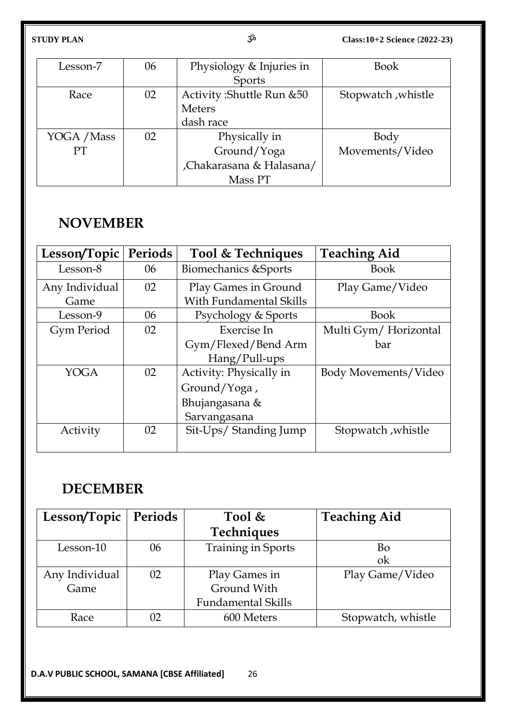| Lesson-7    | 06 | Physiology & Injuries in   | <b>Book</b>        |
|-------------|----|----------------------------|--------------------|
|             |    | Sports                     |                    |
| Race        | 02 | Activity: Shuttle Run & 50 | Stopwatch, whistle |
|             |    | <b>Meters</b>              |                    |
|             |    | dash race                  |                    |
| YOGA / Mass | 02 | Physically in              | Body               |
| PT          |    | Ground/Yoga                | Movements/Video    |
|             |    | Chakarasana & Halasana/    |                    |
|             |    | Mass PT                    |                    |

# **NOVEMBER**

| Lesson/Topic   | <b>Periods</b> | Tool & Techniques              | <b>Teaching Aid</b>  |
|----------------|----------------|--------------------------------|----------------------|
| Lesson-8       | 06             | Biomechanics & Sports          | <b>Book</b>          |
| Any Individual | 02             | Play Games in Ground           | Play Game/Video      |
| Game           |                | <b>With Fundamental Skills</b> |                      |
| Lesson-9       | 06             | Psychology & Sports            | <b>Book</b>          |
| Gym Period     | 02             | Exercise In                    | Multi Gym/Horizontal |
|                |                | Gym/Flexed/Bend Arm            | bar                  |
|                |                | Hang/Pull-ups                  |                      |
| <b>YOGA</b>    | 02             | Activity: Physically in        | Body Movements/Video |
|                |                | Ground/Yoga,                   |                      |
|                |                | Bhujangasana &                 |                      |
|                |                | Sarvangasana                   |                      |
| Activity       | 02             | Sit-Ups/ Standing Jump         | Stopwatch, whistle   |
|                |                |                                |                      |

# **DECEMBER**

| Lesson/Topic   | Periods | Tool $\&$                 | <b>Teaching Aid</b> |
|----------------|---------|---------------------------|---------------------|
|                |         | <b>Techniques</b>         |                     |
| Lesson-10      | 06      | <b>Training in Sports</b> | Bo                  |
|                |         |                           | ok                  |
| Any Individual | 02      | Play Games in             | Play Game/Video     |
| Game           |         | Ground With               |                     |
|                |         | <b>Fundamental Skills</b> |                     |
| Race           | 02      | 600 Meters                | Stopwatch, whistle  |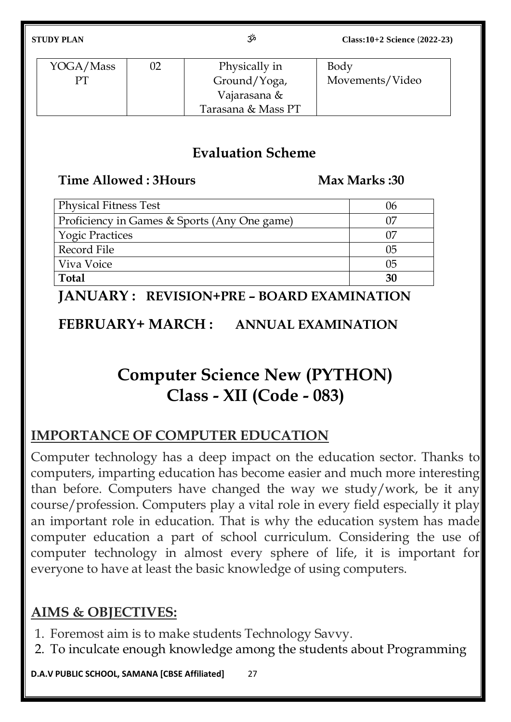| YOGA/Mass | 02 | Physically in      | Body            |
|-----------|----|--------------------|-----------------|
| PТ        |    | Ground/Yoga,       | Movements/Video |
|           |    | Vajarasana &       |                 |
|           |    | Tarasana & Mass PT |                 |

# **Evaluation Scheme**

## **Time Allowed : 3Hours Max Marks : 30**

| <b>Physical Fitness Test</b>                 | ს6  |
|----------------------------------------------|-----|
| Proficiency in Games & Sports (Any One game) |     |
| <b>Yogic Practices</b>                       |     |
| Record File                                  |     |
| Viva Voice                                   | lb. |
| <b>Total</b>                                 | 30  |

**JANUARY : REVISION+PRE – BOARD EXAMINATION**

**FEBRUARY+ MARCH : ANNUAL EXAMINATION**

# **Computer Science New (PYTHON) Class - XII (Code - 083)**

# **IMPORTANCE OF COMPUTER EDUCATION**

Computer technology has a deep impact on the education sector. Thanks to computers, imparting education has become easier and much more interesting than before. Computers have changed the way we study/work, be it any course/profession. Computers play a vital role in every field especially it play an important role in education. That is why the education system has made computer education a part of school curriculum. Considering the use of computer technology in almost every sphere of life, it is important for everyone to have at least the basic knowledge of using computers.

# **AIMS & OBJECTIVES:**

- 1. Foremost aim is to make students Technology Savvy.
- 2. To inculcate enough knowledge among the students about Programming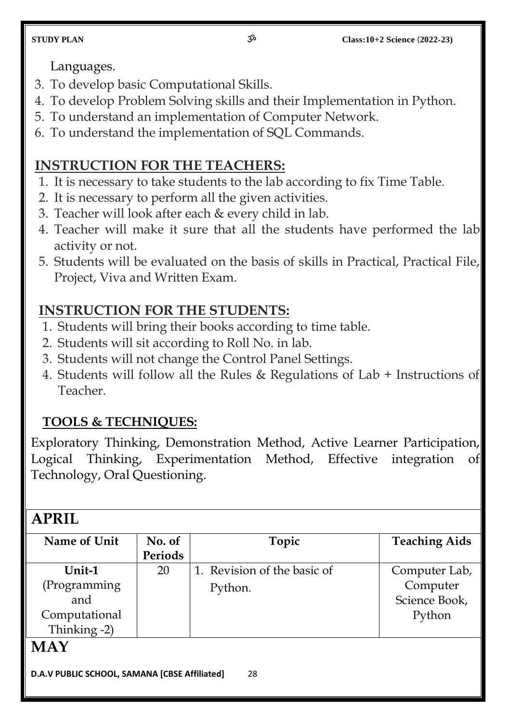Languages.

- 3. To develop basic Computational Skills.
- 4. To develop Problem Solving skills and their Implementation in Python.
- 5. To understand an implementation of Computer Network.
- 6. To understand the implementation of SQL Commands.

# **INSTRUCTION FOR THE TEACHERS:**

- 1. It is necessary to take students to the lab according to fix Time Table.
- 2. It is necessary to perform all the given activities.
- 3. Teacher will look after each & every child in lab.
- 4. Teacher will make it sure that all the students have performed the lab activity or not.
- 5. Students will be evaluated on the basis of skills in Practical, Practical File, Project, Viva and Written Exam.

# **INSTRUCTION FOR THE STUDENTS:**

- 1. Students will bring their books according to time table.
- 2. Students will sit according to Roll No. in lab.
- 3. Students will not change the Control Panel Settings.
- 4. Students will follow all the Rules & Regulations of Lab + Instructions of Teacher.

# **TOOLS & TECHNIQUES:**

Exploratory Thinking, Demonstration Method, Active Learner Participation, Logical Thinking, Experimentation Method, Effective integration of Technology, Oral Questioning.

# **APRIL**

| Name of Unit  | No. of  | Topic                       | <b>Teaching Aids</b> |
|---------------|---------|-----------------------------|----------------------|
|               | Periods |                             |                      |
| Unit-1        | 20      | 1. Revision of the basic of | Computer Lab,        |
| (Programming  |         | Python.                     | Computer             |
| and           |         |                             | Science Book,        |
| Computational |         |                             | Python               |
| Thinking -2)  |         |                             |                      |
| MAY           |         |                             |                      |

# **MAY**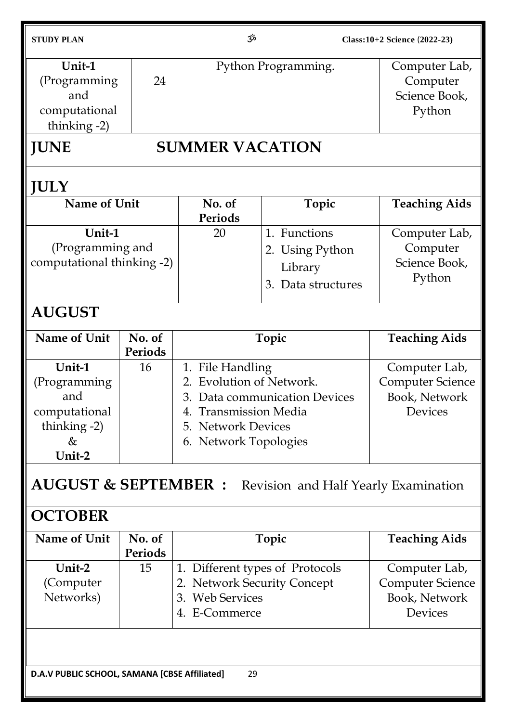| <b>STUDY PLAN</b>                                                                |                                                                         | مرّ3                                                                                                                     | Class: 10+2 Science (2022-23) |                                                                      |
|----------------------------------------------------------------------------------|-------------------------------------------------------------------------|--------------------------------------------------------------------------------------------------------------------------|-------------------------------|----------------------------------------------------------------------|
| Unit-1<br>(Programming<br>and<br>computational<br>thinking -2)                   | 24                                                                      |                                                                                                                          | Python Programming.           |                                                                      |
| <b>JUNE</b>                                                                      |                                                                         | <b>SUMMER VACATION</b>                                                                                                   |                               |                                                                      |
| <b>JULY</b>                                                                      |                                                                         |                                                                                                                          |                               |                                                                      |
| Name of Unit                                                                     |                                                                         | No. of<br>Periods                                                                                                        | Topic                         | <b>Teaching Aids</b>                                                 |
| Unit-1<br>(Programming and<br>computational thinking -2)                         |                                                                         | 1. Functions<br>20<br>2. Using Python<br>Library<br>3. Data structures                                                   |                               | Computer Lab,<br>Computer<br>Science Book,<br>Python                 |
| <b>AUGUST</b>                                                                    |                                                                         |                                                                                                                          |                               |                                                                      |
| Name of Unit                                                                     | No. of<br>Periods                                                       |                                                                                                                          | Topic                         | <b>Teaching Aids</b>                                                 |
| Unit-1<br>(Programming<br>and<br>computational<br>thinking $-2$ )<br>&<br>Unit-2 | 16                                                                      | 1. File Handling<br>2. Evolution of Network.<br><b>Transmission Media</b><br>5. Network Devices<br>6. Network Topologies | 3. Data communication Devices | Computer Lab,<br><b>Computer Science</b><br>Book, Network<br>Devices |
|                                                                                  | <b>AUGUST &amp; SEPTEMBER :</b><br>Revision and Half Yearly Examination |                                                                                                                          |                               |                                                                      |
| <b>OCTOBER</b>                                                                   |                                                                         |                                                                                                                          |                               |                                                                      |
| Name of Unit                                                                     | No. of<br>Periods                                                       |                                                                                                                          | Topic                         | <b>Teaching Aids</b>                                                 |
| Unit-2<br>(Computer<br>Networks)                                                 | 15                                                                      | 1. Different types of Protocols<br>2. Network Security Concept<br>3. Web Services<br>4. E-Commerce                       |                               | Computer Lab,<br><b>Computer Science</b><br>Book, Network<br>Devices |
| 29<br>D.A.V PUBLIC SCHOOL, SAMANA [CBSE Affiliated]                              |                                                                         |                                                                                                                          |                               |                                                                      |
|                                                                                  |                                                                         |                                                                                                                          |                               |                                                                      |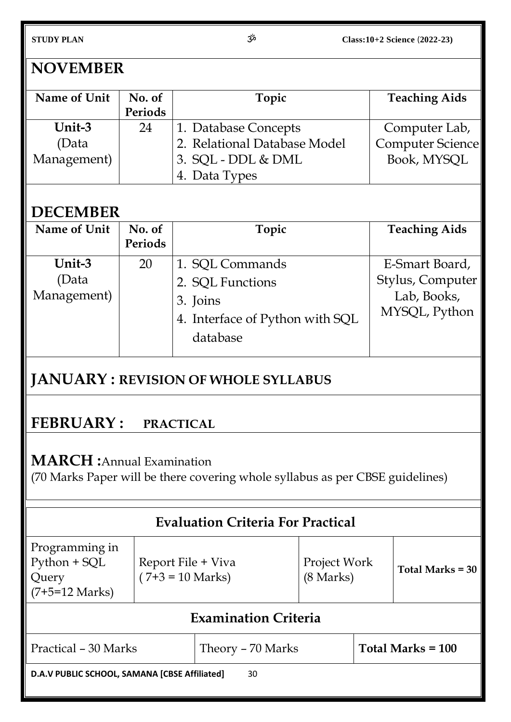# **NOVEMBER**

| Name of Unit | No. of<br>Periods | Topic                        | <b>Teaching Aids</b> |
|--------------|-------------------|------------------------------|----------------------|
| Unit-3       | 24                | 1. Database Concepts         | Computer Lab,        |
| (Data        |                   | 2. Relational Database Model | Computer Science     |
| Management)  |                   | 3. SQL - DDL & DML           | Book, MYSQL          |
|              |                   | 4. Data Types                |                      |

# **DECEMBER**

| Name of Unit                   | No. of<br>Periods | Topic                                                                                          | <b>Teaching Aids</b>                                               |
|--------------------------------|-------------------|------------------------------------------------------------------------------------------------|--------------------------------------------------------------------|
| Unit-3<br>(Data<br>Management) | 20                | 1. SQL Commands<br>2. SQL Functions<br>3. Joins<br>4. Interface of Python with SQL<br>database | E-Smart Board,<br>Stylus, Computer<br>Lab, Books,<br>MYSQL, Python |

# **JANUARY : REVISION OF WHOLE SYLLABUS**

# **FEBRUARY : PRACTICAL**

# **MARCH :**Annual Examination

(70 Marks Paper will be there covering whole syllabus as per CBSE guidelines)

|                                                                     |                                          | <b>Evaluation Criteria For Practical</b> |                                     |  |                     |
|---------------------------------------------------------------------|------------------------------------------|------------------------------------------|-------------------------------------|--|---------------------|
| Programming in<br>Python + SQL<br>Query<br>$(7+5=12 \text{ Marks})$ | Report File + Viva<br>$(7+3 = 10$ Marks) |                                          | Project Work<br>$(8 \text{ Marks})$ |  | Total Marks = 30    |
| <b>Examination Criteria</b>                                         |                                          |                                          |                                     |  |                     |
| Practical - 30 Marks                                                |                                          | Theory – 70 Marks                        |                                     |  | Total Marks $= 100$ |
| D.A.V PUBLIC SCHOOL, SAMANA [CBSE Affiliated]<br>30                 |                                          |                                          |                                     |  |                     |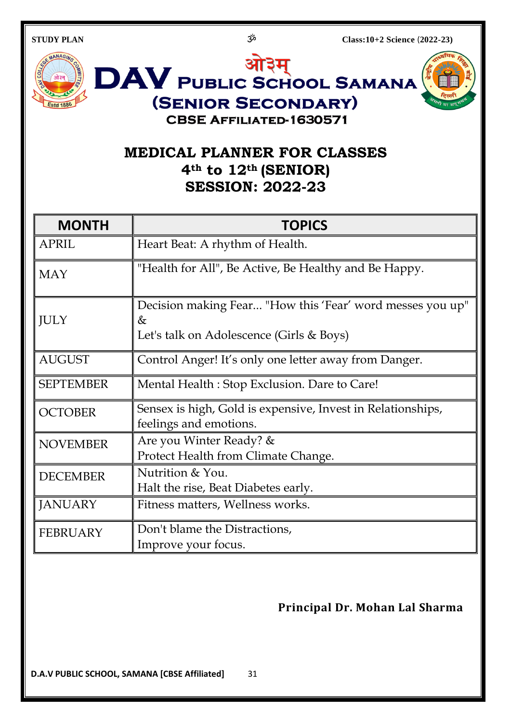

# **MEDICAL PLANNER FOR CLASSES 4th to 12th (SENIOR) SESSION: 2022-23**

(SENIOR SECONDARY) **CBSE AFFILIATED-1630571** 

| <b>MONTH</b>     | <b>TOPICS</b>                                                                                              |
|------------------|------------------------------------------------------------------------------------------------------------|
| <b>APRIL</b>     | Heart Beat: A rhythm of Health.                                                                            |
| <b>MAY</b>       | "Health for All", Be Active, Be Healthy and Be Happy.                                                      |
| <b>JULY</b>      | Decision making Fear "How this 'Fear' word messes you up"<br>&<br>Let's talk on Adolescence (Girls & Boys) |
| <b>AUGUST</b>    | Control Anger! It's only one letter away from Danger.                                                      |
| <b>SEPTEMBER</b> | Mental Health: Stop Exclusion. Dare to Care!                                                               |
| <b>OCTOBER</b>   | Sensex is high, Gold is expensive, Invest in Relationships,<br>feelings and emotions.                      |
| <b>NOVEMBER</b>  | Are you Winter Ready? &<br>Protect Health from Climate Change.                                             |
| <b>DECEMBER</b>  | Nutrition & You.<br>Halt the rise, Beat Diabetes early.                                                    |
| <b>JANUARY</b>   | Fitness matters, Wellness works.                                                                           |
| <b>FEBRUARY</b>  | Don't blame the Distractions,<br>Improve your focus.                                                       |

# **Principal Dr. Mohan Lal Sharma**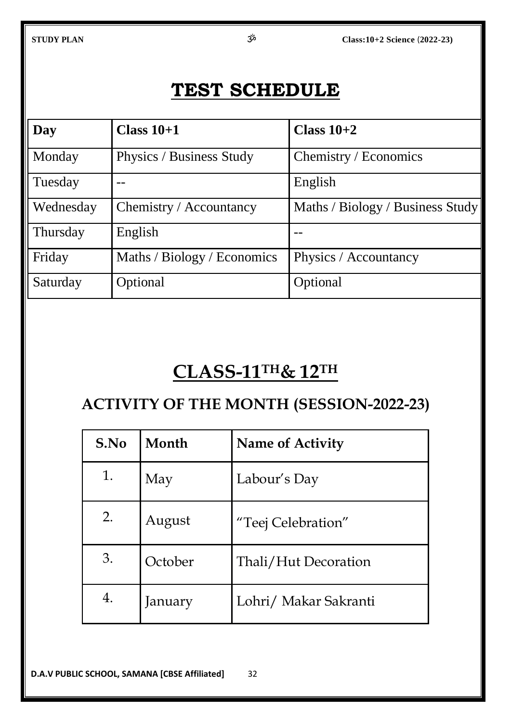# **TEST SCHEDULE**

| Day       | Class $10+1$                | Class $10+2$                     |
|-----------|-----------------------------|----------------------------------|
| Monday    | Physics / Business Study    | Chemistry / Economics            |
| Tuesday   |                             | English                          |
| Wednesday | Chemistry / Accountancy     | Maths / Biology / Business Study |
| Thursday  | English                     |                                  |
| Friday    | Maths / Biology / Economics | Physics / Accountancy            |
| Saturday  | Optional                    | Optional                         |

# **CLASS-11TH& 12TH**

# **ACTIVITY OF THE MONTH (SESSION-2022-23)**

| S.No | Month   | <b>Name of Activity</b> |
|------|---------|-------------------------|
| 1.   | May     | Labour's Day            |
| 2.   | August  | "Teej Celebration"      |
| 3.   | October | Thali/Hut Decoration    |
| 4.   | January | Lohri/ Makar Sakranti   |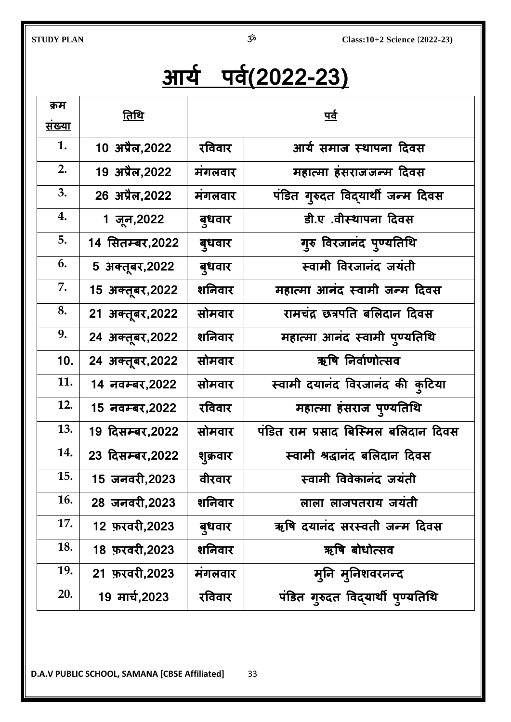# **आर्य ऩर्य(2022-23)**

| <u>क्रम</u><br><u>संख्या</u> | <u>तिथि</u>      | <u>पर्व</u> |                                      |  |
|------------------------------|------------------|-------------|--------------------------------------|--|
| 1.                           | 10 अप्रैल, 2022  | रविवार      | आर्य समाज स्थापना दिवस               |  |
| 2.                           | 19 अप्रैल, 2022  | मंगलवार     | महात्मा हंसराजजन्म दिवस              |  |
| 3.                           | 26 अप्रैल,2022   | मंगलवार     | पंडित गुरुदत विद्यार्थी जन्म दिवस    |  |
| 4.                           | 1 जून,2022       | बुधवार      | डी.ए.वीस्थापना दिवस                  |  |
| 5.                           | 14 सितम्बर,2022  | बुधवार      | गूरु विरजानंद पुण्यतिथि              |  |
| 6.                           | 5 अक्तूबर, 2022  | बुधवार      | स्वामी विरजानंद जयंती                |  |
| 7.                           | 15 अक्तूबर, 2022 | शनिवार      | महात्मा आनंद स्वामी जन्म दिवस        |  |
| 8.                           | 21 अक्तूबर, 2022 | सोमवार      | रामचंद्र छत्रपति बलिदान दिवस         |  |
| 9.                           | 24 अक्तूबर, 2022 | शनिवार      | महात्मा आनंद स्वामी पुण्यतिथि        |  |
| 10.                          | 24 अक्तूबर, 2022 | सोमवार      | ऋषि निर्वाणोत्सव                     |  |
| 11.                          | 14 नवम्बर, 2022  | सोमवार      | स्वामी दयानंद विरजानंद की कुटिया     |  |
| 12.                          | 15 नवम्बर,2022   | रविवार      | महात्मा हंसराज पुण्यतिथि             |  |
| 13.                          | 19 दिसम्बर,2022  | सोमवार      | पंडित राम प्रसाद बिस्मिल बलिदान दिवस |  |
| 14.                          | 23 दिसम्बर, 2022 | शुक्रवार    | स्वामी श्रद्धानंद बलिदान दिवस        |  |
| 15.                          | 15 जनवरी,2023    | वीरवार      | स्वामी विवेकानंद जयंती               |  |
| 16.                          | 28 जनवरी,2023    | शनिवार      | लाला लाजपतराय जयंती                  |  |
| 17.                          | 12 फ़रवरी, 2023  | बुधवार      | ऋषि दयानंद सरस्वती जन्म दिवस         |  |
| 18.                          | 18 फ़रवरी,2023   | शनिवार      | ऋषि बोधोत्सव                         |  |
| 19.                          | 21 फ़रवरी,2023   | मंगलवार     | मूनि मूनिशवरनन्द                     |  |
| 20.                          | 19 मार्च,2023    | रविवार      | पंडित गुरुदत विद्यार्थी पुण्यतिथि    |  |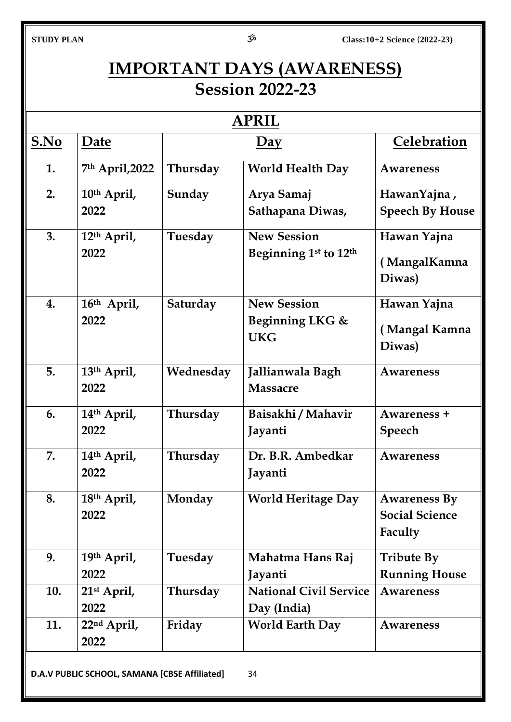# **IMPORTANT DAYS (AWARENESS) Session 2022-23**

| <b>APRIL</b> |                                               |           |                                                                     |                                                         |
|--------------|-----------------------------------------------|-----------|---------------------------------------------------------------------|---------------------------------------------------------|
| S.No         | Date                                          |           | $\overline{Day}$                                                    | Celebration                                             |
| 1.           | 7th April, 2022                               | Thursday  | <b>World Health Day</b>                                             | Awareness                                               |
| 2.           | 10 <sup>th</sup> April,<br>2022               | Sunday    | Arya Samaj<br>Sathapana Diwas,                                      | HawanYajna,<br><b>Speech By House</b>                   |
| 3.           | 12 <sup>th</sup> April,<br>2022               | Tuesday   | <b>New Session</b><br>Beginning 1 <sup>st</sup> to 12 <sup>th</sup> | Hawan Yajna<br>(MangalKamna<br>Diwas)                   |
| 4.           | 16th April,<br>2022                           | Saturday  | <b>New Session</b><br>Beginning LKG &<br><b>UKG</b>                 | Hawan Yajna<br>(Mangal Kamna<br>Diwas)                  |
| 5.           | 13th April,<br>2022                           | Wednesday | Jallianwala Bagh<br><b>Massacre</b>                                 | <b>Awareness</b>                                        |
| 6.           | 14 <sup>th</sup> April,<br>2022               | Thursday  | Baisakhi / Mahavir<br>Jayanti                                       | Awareness +<br><b>Speech</b>                            |
| 7.           | 14th April,<br>2022                           | Thursday  | Dr. B.R. Ambedkar<br>Jayanti                                        | <b>Awareness</b>                                        |
| 8.           | 18th April,<br>2022                           | Monday    | <b>World Heritage Day</b>                                           | <b>Awareness By</b><br><b>Social Science</b><br>Faculty |
| 9.           | 19th April,<br>2022                           | Tuesday   | Mahatma Hans Raj<br>Jayanti                                         | <b>Tribute By</b><br><b>Running House</b>               |
| 10.          | $21st$ April,<br>2022                         | Thursday  | <b>National Civil Service</b><br>Day (India)                        | <b>Awareness</b>                                        |
| 11.          | 22 <sup>nd</sup> April,<br>2022               | Friday    | <b>World Earth Day</b>                                              | <b>Awareness</b>                                        |
|              | D.A.V PUBLIC SCHOOL, SAMANA [CBSE Affiliated] |           | 34                                                                  |                                                         |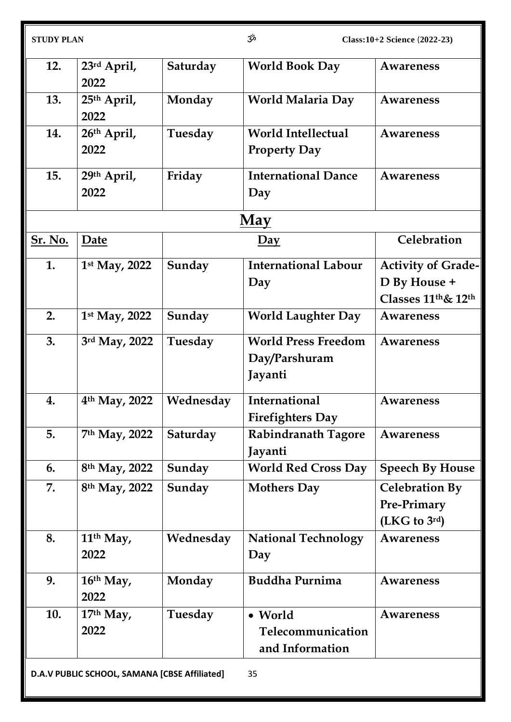| <b>STUDY PLAN</b> |                                               | مژح       | Class: 10+2 Science (2022-23)                          |                                                                   |
|-------------------|-----------------------------------------------|-----------|--------------------------------------------------------|-------------------------------------------------------------------|
| 12.               | 23rd April,<br>2022                           | Saturday  | <b>World Book Day</b>                                  | <b>Awareness</b>                                                  |
| 13.               | 25 <sup>th</sup> April,<br>2022               | Monday    | <b>World Malaria Day</b>                               | <b>Awareness</b>                                                  |
| 14.               | 26th April,<br>2022                           | Tuesday   | <b>World Intellectual</b><br><b>Property Day</b>       | <b>Awareness</b>                                                  |
| 15.               | 29th April,<br>2022                           | Friday    | <b>International Dance</b><br>Day                      | <b>Awareness</b>                                                  |
|                   |                                               |           | <u>May</u>                                             |                                                                   |
| <b>Sr. No.</b>    | Date                                          |           | $\overline{Day}$                                       | Celebration                                                       |
| 1.                | 1st May, 2022                                 | Sunday    | <b>International Labour</b><br>Day                     | <b>Activity of Grade-</b><br>D By House +<br>Classes 11th & 12th  |
| 2.                | 1st May, 2022                                 | Sunday    | <b>World Laughter Day</b>                              | <b>Awareness</b>                                                  |
| 3.                | 3rd May, 2022                                 | Tuesday   | <b>World Press Freedom</b><br>Day/Parshuram<br>Jayanti | <b>Awareness</b>                                                  |
| 4.                | 4th May, 2022                                 | Wednesday | International<br><b>Firefighters Day</b>               | <b>Awareness</b>                                                  |
| 5.                | 7th May, 2022                                 | Saturday  | <b>Rabindranath Tagore</b><br>Jayanti                  | <b>Awareness</b>                                                  |
| 6.                | 8 <sup>th</sup> May, 2022                     | Sunday    | <b>World Red Cross Day</b>                             | <b>Speech By House</b>                                            |
| 7.                | 8 <sup>th</sup> May, 2022                     | Sunday    | <b>Mothers Day</b>                                     | <b>Celebration By</b><br>Pre-Primary<br>(LKG to 3 <sup>rd</sup> ) |
| 8.                | 11 <sup>th</sup> May,<br>2022                 | Wednesday | <b>National Technology</b><br>Day                      | <b>Awareness</b>                                                  |
| 9.                | 16th May,<br>2022                             | Monday    | <b>Buddha Purnima</b>                                  | <b>Awareness</b>                                                  |
| 10.               | $17th$ May,<br>2022                           | Tuesday   | • World<br>Telecommunication<br>and Information        | Awareness                                                         |
|                   | D.A.V PUBLIC SCHOOL, SAMANA [CBSE Affiliated] |           | 35                                                     |                                                                   |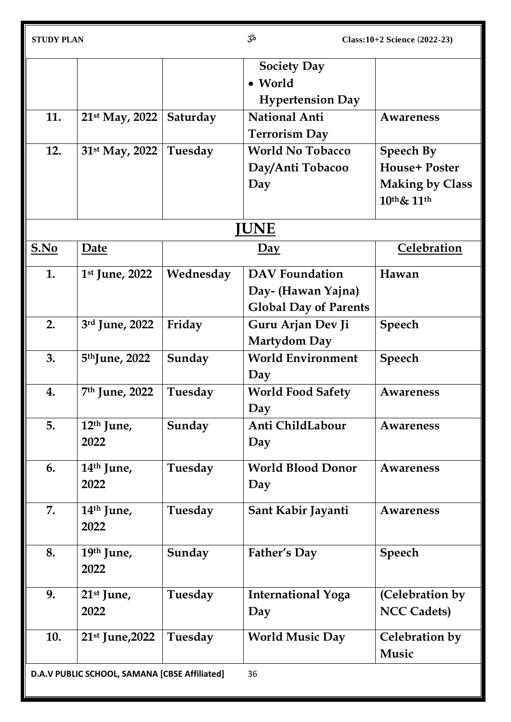| <b>STUDY PLAN</b> |                                               |           | مرّخ                         | Class: 10+2 Science (2022-23) |
|-------------------|-----------------------------------------------|-----------|------------------------------|-------------------------------|
|                   |                                               |           | <b>Society Day</b>           |                               |
|                   |                                               |           | • World                      |                               |
|                   |                                               |           | <b>Hypertension Day</b>      |                               |
| 11.               | 21 <sup>st</sup> May, 2022                    | Saturday  | <b>National Anti</b>         | <b>Awareness</b>              |
|                   |                                               |           | <b>Terrorism Day</b>         |                               |
| 12.               | 31 <sup>st</sup> May, 2022                    | Tuesday   | <b>World No Tobacco</b>      | <b>Speech By</b>              |
|                   |                                               |           | Day/Anti Tobacoo             | <b>House+ Poster</b>          |
|                   |                                               |           | Day                          | <b>Making by Class</b>        |
|                   |                                               |           |                              | 10th& 11th                    |
|                   |                                               |           | <b>JUNE</b>                  |                               |
| S.No              | Date                                          |           | $\overline{Day}$             | Celebration                   |
| 1.                | 1 <sup>st</sup> June, 2022                    | Wednesday | <b>DAV</b> Foundation        | Hawan                         |
|                   |                                               |           | Day- (Hawan Yajna)           |                               |
|                   |                                               |           | <b>Global Day of Parents</b> |                               |
| 2.                | 3rd June, 2022                                | Friday    | Guru Arjan Dev Ji            | Speech                        |
|                   |                                               |           | <b>Martydom Day</b>          |                               |
| 3.                | 5 <sup>th</sup> June, 2022                    | Sunday    | <b>World Environment</b>     | <b>Speech</b>                 |
|                   |                                               |           | Day                          |                               |
| 4.                | 7 <sup>th</sup> June, 2022                    | Tuesday   | <b>World Food Safety</b>     | <b>Awareness</b>              |
|                   |                                               |           | Day                          |                               |
| 5.                | $12th$ June,                                  | Sunday    | Anti ChildLabour             | <b>Awareness</b>              |
|                   | 2022                                          |           | Day                          |                               |
| 6.                | 14 <sup>th</sup> June,                        | Tuesday   | <b>World Blood Donor</b>     | <b>Awareness</b>              |
|                   | 2022                                          |           | Day                          |                               |
|                   |                                               |           |                              |                               |
| 7.                | $14th$ June,                                  | Tuesday   | Sant Kabir Jayanti           | <b>Awareness</b>              |
|                   | 2022                                          |           |                              |                               |
| 8.                | 19th June,                                    | Sunday    | Father's Day                 | Speech                        |
|                   | 2022                                          |           |                              |                               |
|                   |                                               |           |                              |                               |
| 9.                | $21st$ June,<br>2022                          | Tuesday   | <b>International Yoga</b>    | (Celebration by               |
|                   |                                               |           | Day                          | <b>NCC Cadets)</b>            |
| 10.               | 21 <sup>st</sup> June, 2022                   | Tuesday   | <b>World Music Day</b>       | Celebration by                |
|                   |                                               |           |                              | Music                         |
|                   | D.A.V PUBLIC SCHOOL, SAMANA [CBSE Affiliated] |           | 36                           |                               |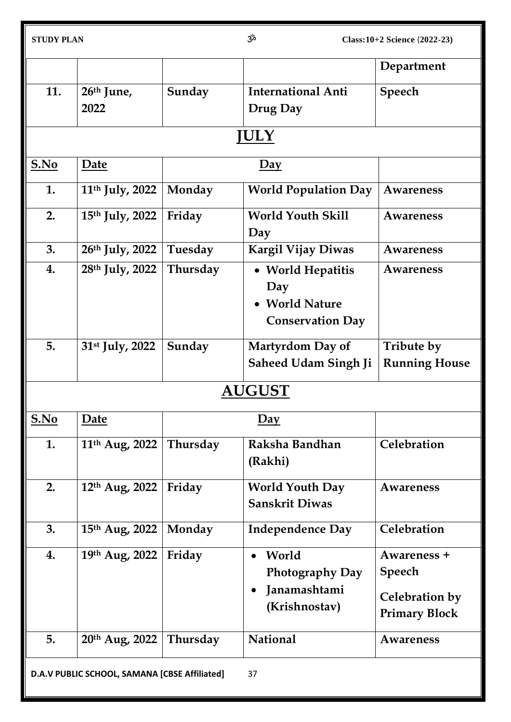|                                                     |                             |          |                             | Department           |
|-----------------------------------------------------|-----------------------------|----------|-----------------------------|----------------------|
| 11.                                                 | $26th$ June,                | Sunday   | <b>International Anti</b>   | <b>Speech</b>        |
|                                                     | 2022                        |          | Drug Day                    |                      |
|                                                     |                             |          | <b>JULY</b>                 |                      |
| S.No                                                | Date                        |          | $\overline{Day}$            |                      |
| 1.                                                  | 11 <sup>th</sup> July, 2022 | Monday   | <b>World Population Day</b> | Awareness            |
| 2.                                                  | 15th July, 2022             | Friday   | <b>World Youth Skill</b>    | <b>Awareness</b>     |
|                                                     |                             |          | Day                         |                      |
| 3.                                                  | 26th July, 2022             | Tuesday  | <b>Kargil Vijay Diwas</b>   | <b>Awareness</b>     |
| 4.                                                  | 28th July, 2022             | Thursday | • World Hepatitis           | Awareness            |
|                                                     |                             |          | Day                         |                      |
|                                                     |                             |          | <b>World Nature</b>         |                      |
|                                                     |                             |          | <b>Conservation Day</b>     |                      |
| 5.                                                  | 31 <sup>st</sup> July, 2022 | Sunday   | Martyrdom Day of            | Tribute by           |
|                                                     |                             |          | <b>Saheed Udam Singh Ji</b> | <b>Running House</b> |
|                                                     |                             |          | <b>AUGUST</b>               |                      |
| S.No                                                | Date                        |          | $\overline{Day}$            |                      |
| 1.                                                  | 11 <sup>th</sup> Aug, 2022  | Thursday | Raksha Bandhan              | Celebration          |
|                                                     |                             |          | (Rakhi)                     |                      |
| 2.                                                  | 12th Aug, 2022              | Friday   | <b>World Youth Day</b>      | <b>Awareness</b>     |
|                                                     |                             |          | <b>Sanskrit Diwas</b>       |                      |
| 3.                                                  | 15 <sup>th</sup> Aug, 2022  | Monday   | <b>Independence Day</b>     | Celebration          |
| 4.                                                  | 19th Aug, 2022              | Friday   | World<br>$\bullet$          | Awareness +          |
|                                                     |                             |          | <b>Photography Day</b>      | <b>Speech</b>        |
|                                                     |                             |          | Janamashtami                | Celebration by       |
|                                                     |                             |          | (Krishnostav)               |                      |
|                                                     |                             |          |                             | <b>Primary Block</b> |
| 5.                                                  | 20 <sup>th</sup> Aug, 2022  | Thursday | <b>National</b>             | <b>Awareness</b>     |
| D.A.V PUBLIC SCHOOL, SAMANA [CBSE Affiliated]<br>37 |                             |          |                             |                      |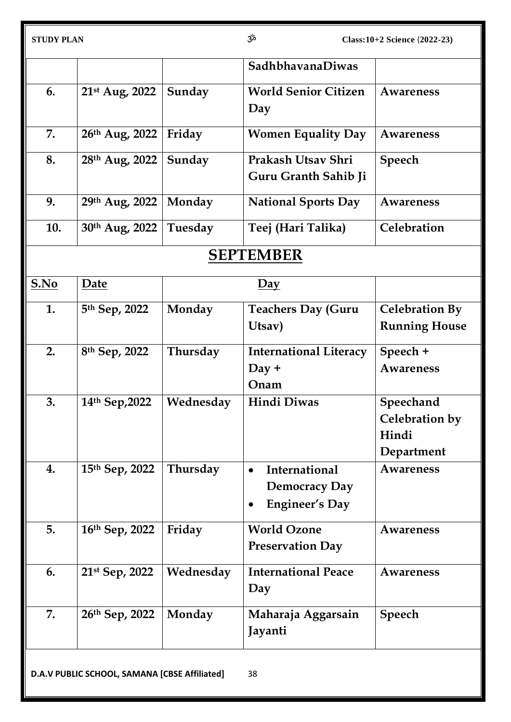|      |                           |           | SadhbhavanaDiwas                                               |                                                    |
|------|---------------------------|-----------|----------------------------------------------------------------|----------------------------------------------------|
| 6.   | 21st Aug, 2022            | Sunday    | <b>World Senior Citizen</b><br>Day                             | Awareness                                          |
| 7.   | 26th Aug, 2022            | Friday    | <b>Women Equality Day</b>                                      | Awareness                                          |
| 8.   | 28th Aug, 2022            | Sunday    | Prakash Utsay Shri<br>Guru Granth Sahib Ji                     | <b>Speech</b>                                      |
| 9.   | 29th Aug, 2022            | Monday    | <b>National Sports Day</b>                                     | Awareness                                          |
| 10.  | 30th Aug, 2022            | Tuesday   | Teej (Hari Talika)                                             | Celebration                                        |
|      |                           |           | <b>SEPTEMBER</b>                                               |                                                    |
| S.No | Date                      |           | $\overline{Day}$                                               |                                                    |
| 1.   | 5 <sup>th</sup> Sep, 2022 | Monday    | <b>Teachers Day (Guru</b><br>Utsav)                            | <b>Celebration By</b><br><b>Running House</b>      |
| 2.   | 8 <sup>th</sup> Sep, 2022 | Thursday  | <b>International Literacy</b><br>$Day +$<br>Onam               | Speech +<br><b>Awareness</b>                       |
| 3.   | 14th Sep, 2022            | Wednesday | <b>Hindi Diwas</b>                                             | Speechand<br>Celebration by<br>Hindi<br>Department |
| 4.   | 15th Sep, 2022            | Thursday  | International<br><b>Democracy Day</b><br><b>Engineer's Day</b> | <b>Awareness</b>                                   |
| 5.   | 16th Sep, 2022            | Friday    | <b>World Ozone</b><br><b>Preservation Day</b>                  | <b>Awareness</b>                                   |
| 6.   | 21st Sep, 2022            | Wednesday | <b>International Peace</b><br>Day                              | <b>Awareness</b>                                   |
| 7.   | 26th Sep, 2022            | Monday    | Maharaja Aggarsain<br>Jayanti                                  | <b>Speech</b>                                      |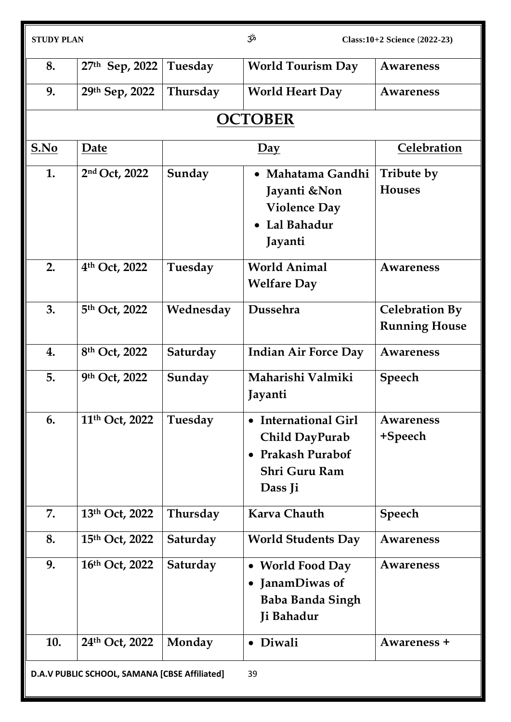| <b>STUDY PLAN</b> |                                                     |           | مژح                                                                                                                         | Class: 10+2 Science (2022-23)                 |  |
|-------------------|-----------------------------------------------------|-----------|-----------------------------------------------------------------------------------------------------------------------------|-----------------------------------------------|--|
| 8.                | 27th Sep, 2022                                      | Tuesday   | <b>World Tourism Day</b>                                                                                                    | Awareness                                     |  |
| 9.                | 29th Sep, 2022                                      | Thursday  | <b>World Heart Day</b>                                                                                                      | <b>Awareness</b>                              |  |
|                   |                                                     |           | <b>OCTOBER</b>                                                                                                              |                                               |  |
| S.No              | Date                                                |           | $\overline{Day}$                                                                                                            | Celebration                                   |  |
| 1.                | 2nd Oct, 2022                                       | Sunday    | • Mahatama Gandhi<br>Jayanti &Non<br><b>Violence Day</b><br>Lal Bahadur<br>Jayanti                                          | Tribute by<br><b>Houses</b>                   |  |
| 2.                | 4th Oct, 2022                                       | Tuesday   | <b>World Animal</b><br><b>Welfare Day</b>                                                                                   | <b>Awareness</b>                              |  |
| 3.                | 5th Oct, 2022                                       | Wednesday | Dussehra                                                                                                                    | <b>Celebration By</b><br><b>Running House</b> |  |
| 4.                | 8th Oct, 2022                                       | Saturday  | <b>Indian Air Force Day</b>                                                                                                 | Awareness                                     |  |
| 5.                | 9th Oct, 2022                                       | Sunday    | Maharishi Valmiki<br>Jayanti                                                                                                | <b>Speech</b>                                 |  |
| 6.                | 11th Oct, 2022                                      | Tuesday   | <b>International Girl</b><br>$\bullet$<br>Child DayPurab<br><b>Prakash Purabof</b><br>$\bullet$<br>Shri Guru Ram<br>Dass Ji | Awareness<br>+Speech                          |  |
| 7.                | 13th Oct, 2022                                      | Thursday  | Karva Chauth                                                                                                                | <b>Speech</b>                                 |  |
| 8.                | 15th Oct, 2022                                      | Saturday  | <b>World Students Day</b>                                                                                                   | <b>Awareness</b>                              |  |
| 9.                | 16th Oct, 2022                                      | Saturday  | • World Food Day<br>JanamDiwas of<br><b>Baba Banda Singh</b><br>Ji Bahadur                                                  | Awareness                                     |  |
| 10.               | 24th Oct, 2022                                      | Monday    | Diwali<br>$\bullet$                                                                                                         | Awareness +                                   |  |
|                   | D.A.V PUBLIC SCHOOL, SAMANA [CBSE Affiliated]<br>39 |           |                                                                                                                             |                                               |  |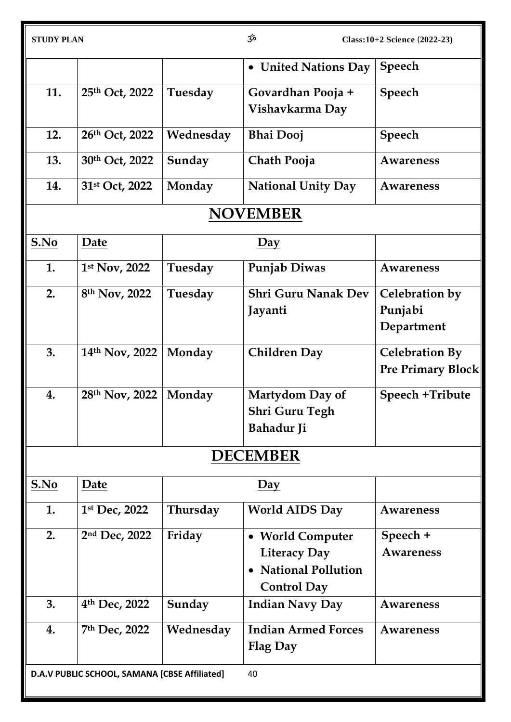|      |                                               |           | • United Nations Day       | <b>Speech</b>            |
|------|-----------------------------------------------|-----------|----------------------------|--------------------------|
| 11.  | 25th Oct, 2022                                | Tuesday   | Govardhan Pooja +          | <b>Speech</b>            |
|      |                                               |           | Vishavkarma Day            |                          |
| 12.  | 26th Oct, 2022                                | Wednesday | <b>Bhai Dooj</b>           | <b>Speech</b>            |
| 13.  | 30th Oct, 2022                                | Sunday    | Chath Pooja                | <b>Awareness</b>         |
| 14.  | 31st Oct, 2022                                | Monday    | <b>National Unity Day</b>  | <b>Awareness</b>         |
|      |                                               |           | <b>NOVEMBER</b>            |                          |
| S.No | Date                                          |           | $\overline{Day}$           |                          |
| 1.   | 1st Nov, 2022                                 | Tuesday   | Punjab Diwas               | <b>Awareness</b>         |
| 2.   | 8th Nov, 2022                                 | Tuesday   | <b>Shri Guru Nanak Dev</b> | Celebration by           |
|      |                                               |           | Jayanti                    | Punjabi                  |
|      |                                               |           |                            | Department               |
| 3.   | 14th Nov, 2022                                | Monday    | <b>Children Day</b>        | <b>Celebration By</b>    |
|      |                                               |           |                            | <b>Pre Primary Block</b> |
| 4.   | 28th Nov, 2022                                | Monday    | Martydom Day of            | Speech +Tribute          |
|      |                                               |           | <b>Shri Guru Tegh</b>      |                          |
|      |                                               |           | Bahadur Ji                 |                          |
|      |                                               |           | <b>DECEMBER</b>            |                          |
| S.No | Date                                          |           | $\overline{Day}$           |                          |
| 1.   | 1st Dec, 2022                                 | Thursday  | <b>World AIDS Day</b>      | <b>Awareness</b>         |
| 2.   | 2nd Dec, 2022                                 | Friday    | • World Computer           | Speech +                 |
|      |                                               |           | <b>Literacy Day</b>        | <b>Awareness</b>         |
|      |                                               |           | <b>National Pollution</b>  |                          |
|      |                                               |           | <b>Control Day</b>         |                          |
| 3.   | 4th Dec, 2022                                 | Sunday    | <b>Indian Navy Day</b>     | Awareness                |
| 4.   | 7th Dec, 2022                                 | Wednesday | <b>Indian Armed Forces</b> | <b>Awareness</b>         |
|      |                                               |           | <b>Flag Day</b>            |                          |
|      | D.A.V PUBLIC SCHOOL, SAMANA [CBSE Affiliated] |           | 40                         |                          |
|      |                                               |           |                            |                          |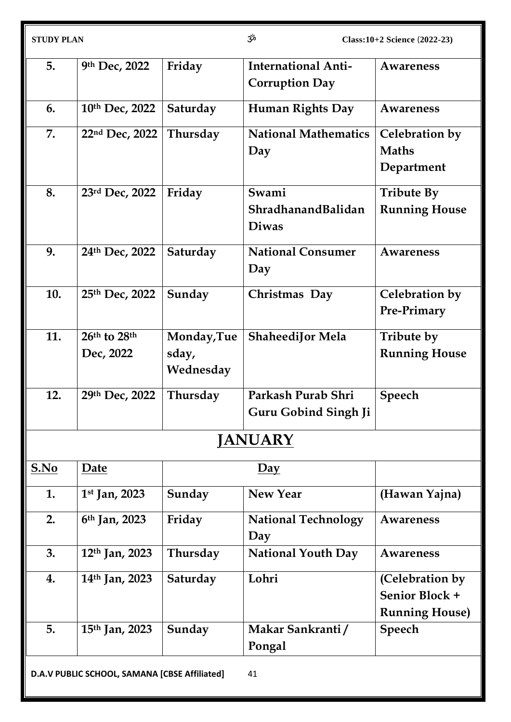| <b>STUDY PLAN</b>                                   |                            |                                   | مژح<br>$Class: 10+2 Science (2022-23)$              |                                                            |
|-----------------------------------------------------|----------------------------|-----------------------------------|-----------------------------------------------------|------------------------------------------------------------|
| 5.                                                  | 9th Dec, 2022              | Friday                            | <b>International Anti-</b><br><b>Corruption Day</b> | <b>Awareness</b>                                           |
| 6.                                                  | 10th Dec, 2022             | Saturday                          | <b>Human Rights Day</b>                             | Awareness                                                  |
| 7.                                                  | 22nd Dec, 2022             | Thursday                          | <b>National Mathematics</b><br>Day                  | Celebration by<br><b>Maths</b><br>Department               |
| 8.                                                  | 23rd Dec, 2022             | Friday                            | Swami<br>ShradhanandBalidan<br><b>Diwas</b>         | <b>Tribute By</b><br><b>Running House</b>                  |
| 9.                                                  | 24th Dec, 2022             | Saturday                          | <b>National Consumer</b><br>Day                     | <b>Awareness</b>                                           |
| 10.                                                 | 25th Dec, 2022             | Sunday                            | Christmas Day                                       | Celebration by<br>Pre-Primary                              |
| 11.                                                 | 26th to 28th<br>Dec, 2022  | Monday, Tue<br>sday,<br>Wednesday | <b>ShaheediJor Mela</b>                             | Tribute by<br><b>Running House</b>                         |
| 12.                                                 | 29th Dec, 2022             | Thursday                          | Parkash Purab Shri<br><b>Guru Gobind Singh Ji</b>   | <b>Speech</b>                                              |
|                                                     |                            |                                   | <b>JANUARY</b>                                      |                                                            |
| S.No                                                | Date                       |                                   | $\overline{Day}$                                    |                                                            |
| 1.                                                  | $1st$ Jan, 2023            | Sunday                            | <b>New Year</b>                                     | (Hawan Yajna)                                              |
| 2.                                                  | 6 <sup>th</sup> Jan, 2023  | Friday                            | <b>National Technology</b><br>Day                   | <b>Awareness</b>                                           |
| 3.                                                  | $12th$ Jan, 2023           | Thursday                          | <b>National Youth Day</b>                           | <b>Awareness</b>                                           |
| 4.                                                  | 14 <sup>th</sup> Jan, 2023 | Saturday                          | Lohri                                               | (Celebration by<br>Senior Block +<br><b>Running House)</b> |
| 5.                                                  | 15 <sup>th</sup> Jan, 2023 | Sunday                            | Makar Sankranti/<br>Pongal                          | Speech                                                     |
| D.A.V PUBLIC SCHOOL, SAMANA [CBSE Affiliated]<br>41 |                            |                                   |                                                     |                                                            |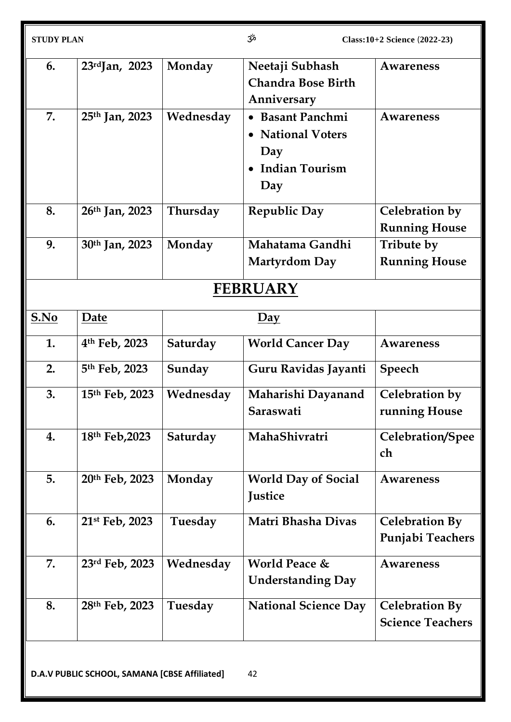| <b>STUDY PLAN</b> |                            |           | مڅخ                                                                          | Class: 10+2 Science (2022-23)                    |
|-------------------|----------------------------|-----------|------------------------------------------------------------------------------|--------------------------------------------------|
| 6.                | $23rd$ Jan, 2023           | Monday    | Neetaji Subhash<br><b>Chandra Bose Birth</b><br>Anniversary                  | Awareness                                        |
| 7.                | 25 <sup>th</sup> Jan, 2023 | Wednesday | • Basant Panchmi<br>• National Voters<br>Day<br><b>Indian Tourism</b><br>Day | Awareness                                        |
| 8.                | 26 <sup>th</sup> Jan, 2023 | Thursday  | <b>Republic Day</b>                                                          | Celebration by<br><b>Running House</b>           |
| 9.                | 30 <sup>th</sup> Jan, 2023 | Monday    | Mahatama Gandhi<br><b>Martyrdom Day</b>                                      | Tribute by<br><b>Running House</b>               |
|                   |                            |           | <b>FEBRUARY</b>                                                              |                                                  |
| S.No              | Date                       |           | Day                                                                          |                                                  |
| 1.                | 4 <sup>th</sup> Feb, 2023  | Saturday  | <b>World Cancer Day</b>                                                      | <b>Awareness</b>                                 |
| 2.                | 5th Feb, 2023              | Sunday    | Guru Ravidas Jayanti                                                         | Speech                                           |
| 3.                | 15th Feb, 2023             | Wednesday | Maharishi Dayanand<br>Saraswati                                              | Celebration by<br>running House                  |
| 4.                | 18th Feb, 2023             | Saturday  | MahaShivratri                                                                | Celebration/Spee<br>ch                           |
| 5.                | 20th Feb, 2023             | Monday    | <b>World Day of Social</b><br>Justice                                        | <b>Awareness</b>                                 |
| 6.                | 21st Feb, 2023             | Tuesday   | Matri Bhasha Divas                                                           | <b>Celebration By</b><br>Punjabi Teachers        |
| 7.                | 23rd Feb, 2023             | Wednesday | <b>World Peace &amp;</b><br><b>Understanding Day</b>                         | Awareness                                        |
| 8.                | 28th Feb, 2023             | Tuesday   | <b>National Science Day</b>                                                  | <b>Celebration By</b><br><b>Science Teachers</b> |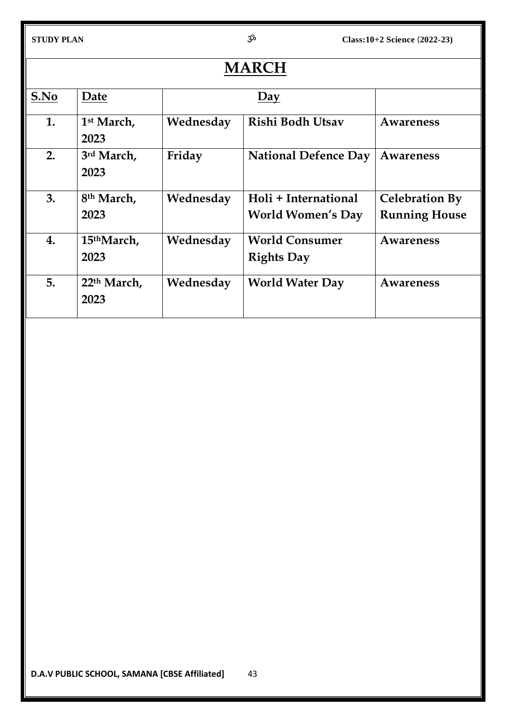| <b>MARCH</b> |                                 |           |                                                  |                                               |
|--------------|---------------------------------|-----------|--------------------------------------------------|-----------------------------------------------|
| S.No         | Date                            | Day       |                                                  |                                               |
| 1.           | 1 <sup>st</sup> March,<br>2023  | Wednesday | Rishi Bodh Utsav                                 | Awareness                                     |
| 2.           | 3rd March,<br>2023              | Friday    | <b>National Defence Day</b>                      | Awareness                                     |
| 3.           | 8 <sup>th</sup> March,<br>2023  | Wednesday | Holi + International<br><b>World Women's Day</b> | <b>Celebration By</b><br><b>Running House</b> |
| 4.           | 15 <sup>th</sup> March,<br>2023 | Wednesday | <b>World Consumer</b><br><b>Rights Day</b>       | Awareness                                     |
| 5.           | 22 <sup>th</sup> March,<br>2023 | Wednesday | <b>World Water Day</b>                           | Awareness                                     |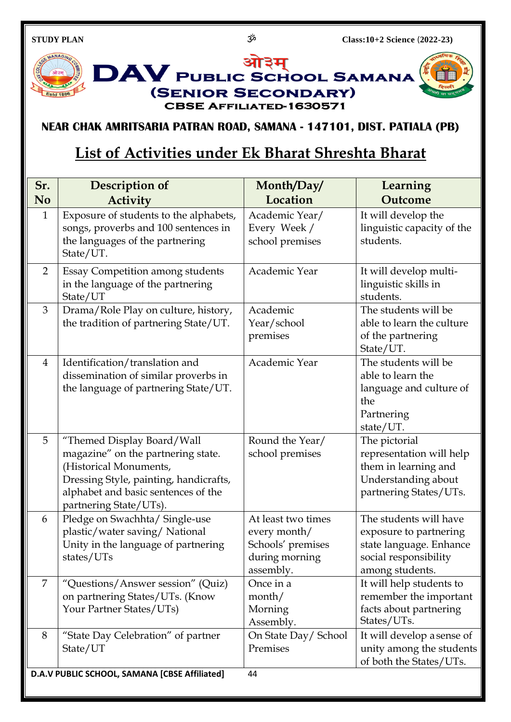

# **NEAR CHAK AMRITSARIA PATRAN ROAD, SAMANA - 147101, DIST. PATIALA (PB)**

# **List of Activities under Ek Bharat Shreshta Bharat**

| Sr.            | Description of                                                                                                                                                                                        | Month/Day/                                                                             | Learning                                                                                                                |
|----------------|-------------------------------------------------------------------------------------------------------------------------------------------------------------------------------------------------------|----------------------------------------------------------------------------------------|-------------------------------------------------------------------------------------------------------------------------|
| N <sub>o</sub> | <b>Activity</b>                                                                                                                                                                                       | Location                                                                               | Outcome                                                                                                                 |
| $\mathbf{1}$   | Exposure of students to the alphabets,<br>songs, proverbs and 100 sentences in<br>the languages of the partnering<br>State/UT.                                                                        | Academic Year/<br>Every Week /<br>school premises                                      | It will develop the<br>linguistic capacity of the<br>students.                                                          |
| $\overline{2}$ | <b>Essay Competition among students</b><br>in the language of the partnering<br>State/UT                                                                                                              | Academic Year                                                                          | It will develop multi-<br>linguistic skills in<br>students.                                                             |
| 3              | Drama/Role Play on culture, history,<br>the tradition of partnering State/UT.                                                                                                                         | Academic<br>Year/school<br>premises                                                    | The students will be<br>able to learn the culture<br>of the partnering<br>State/UT.                                     |
| $\overline{4}$ | Identification/translation and<br>dissemination of similar proverbs in<br>the language of partnering State/UT.                                                                                        | Academic Year                                                                          | The students will be<br>able to learn the<br>language and culture of<br>the<br>Partnering<br>state/UT.                  |
| 5              | "Themed Display Board/Wall<br>magazine" on the partnering state.<br>(Historical Monuments,<br>Dressing Style, painting, handicrafts,<br>alphabet and basic sentences of the<br>partnering State/UTs). | Round the Year/<br>school premises                                                     | The pictorial<br>representation will help<br>them in learning and<br>Understanding about<br>partnering States/UTs.      |
| 6              | Pledge on Swachhta/ Single-use<br>plastic/water saving/National<br>Unity in the language of partnering<br>states/UTs                                                                                  | At least two times<br>every month/<br>Schools' premises<br>during morning<br>assembly. | The students will have<br>exposure to partnering<br>state language. Enhance<br>social responsibility<br>among students. |
| 7              | "Questions/Answer session" (Quiz)<br>on partnering States/UTs. (Know<br>Your Partner States/UTs)                                                                                                      | Once in a<br>month/<br>Morning<br>Assembly.                                            | It will help students to<br>remember the important<br>facts about partnering<br>States/UTs.                             |
| 8              | "State Day Celebration" of partner<br>State/UT                                                                                                                                                        | On State Day/School<br>Premises                                                        | It will develop a sense of<br>unity among the students<br>of both the States/UTs.                                       |
|                | D.A.V PUBLIC SCHOOL, SAMANA [CBSE Affiliated]                                                                                                                                                         | 44                                                                                     |                                                                                                                         |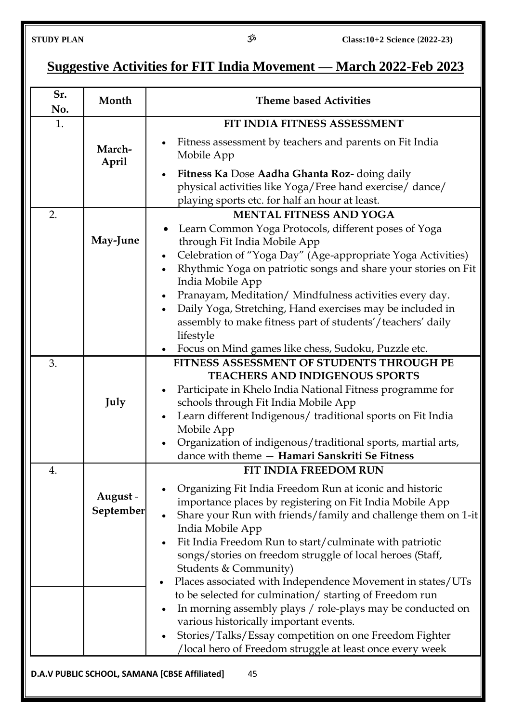# **Suggestive Activities for FIT India Movement — March 2022-Feb 2023**

| Sr.<br>No. | Month                 | <b>Theme based Activities</b>                                                                                                                                                                                                                                                                                                                                                                                                                                                                                                                                                                                                                                                 |  |
|------------|-----------------------|-------------------------------------------------------------------------------------------------------------------------------------------------------------------------------------------------------------------------------------------------------------------------------------------------------------------------------------------------------------------------------------------------------------------------------------------------------------------------------------------------------------------------------------------------------------------------------------------------------------------------------------------------------------------------------|--|
| 1.         |                       | FIT INDIA FITNESS ASSESSMENT                                                                                                                                                                                                                                                                                                                                                                                                                                                                                                                                                                                                                                                  |  |
|            | March-<br>April       | Fitness assessment by teachers and parents on Fit India<br>Mobile App<br>Fitness Ka Dose Aadha Ghanta Roz- doing daily<br>$\bullet$<br>physical activities like Yoga/Free hand exercise/ dance/                                                                                                                                                                                                                                                                                                                                                                                                                                                                               |  |
|            |                       | playing sports etc. for half an hour at least.                                                                                                                                                                                                                                                                                                                                                                                                                                                                                                                                                                                                                                |  |
| 2.         | May-June              | <b>MENTAL FITNESS AND YOGA</b><br>Learn Common Yoga Protocols, different poses of Yoga<br>through Fit India Mobile App<br>Celebration of "Yoga Day" (Age-appropriate Yoga Activities)<br>$\bullet$<br>Rhythmic Yoga on patriotic songs and share your stories on Fit<br>$\bullet$<br>India Mobile App<br>Pranayam, Meditation/Mindfulness activities every day.<br>$\bullet$<br>Daily Yoga, Stretching, Hand exercises may be included in                                                                                                                                                                                                                                     |  |
|            |                       | assembly to make fitness part of students'/teachers' daily<br>lifestyle                                                                                                                                                                                                                                                                                                                                                                                                                                                                                                                                                                                                       |  |
| 3.         |                       | Focus on Mind games like chess, Sudoku, Puzzle etc.<br>$\bullet$<br>FITNESS ASSESSMENT OF STUDENTS THROUGH PE                                                                                                                                                                                                                                                                                                                                                                                                                                                                                                                                                                 |  |
|            | July                  | <b>TEACHERS AND INDIGENOUS SPORTS</b><br>Participate in Khelo India National Fitness programme for<br>schools through Fit India Mobile App<br>Learn different Indigenous/ traditional sports on Fit India<br>Mobile App<br>Organization of indigenous/traditional sports, martial arts,<br>dance with theme - Hamari Sanskriti Se Fitness                                                                                                                                                                                                                                                                                                                                     |  |
| 4.         |                       | <b>FIT INDIA FREEDOM RUN</b>                                                                                                                                                                                                                                                                                                                                                                                                                                                                                                                                                                                                                                                  |  |
|            | August -<br>September | Organizing Fit India Freedom Run at iconic and historic<br>importance places by registering on Fit India Mobile App<br>Share your Run with friends/family and challenge them on 1-it<br>India Mobile App<br>Fit India Freedom Run to start/culminate with patriotic<br>$\bullet$<br>songs/stories on freedom struggle of local heroes (Staff,<br>Students & Community)<br>Places associated with Independence Movement in states/UTs<br>to be selected for culmination/starting of Freedom run<br>In morning assembly plays / role-plays may be conducted on<br>various historically important events.<br>Stories/Talks/Essay competition on one Freedom Fighter<br>$\bullet$ |  |
|            |                       | /local hero of Freedom struggle at least once every week                                                                                                                                                                                                                                                                                                                                                                                                                                                                                                                                                                                                                      |  |
|            |                       | D.A.V PUBLIC SCHOOL, SAMANA [CBSE Affiliated]<br>45                                                                                                                                                                                                                                                                                                                                                                                                                                                                                                                                                                                                                           |  |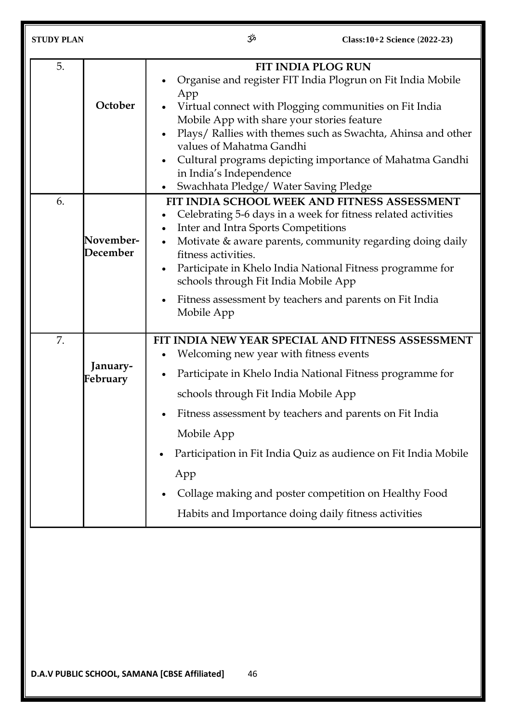| <b>STUDY PLAN</b> |                       | مرّخ                                                                                                                                                                     | Class: 10+2 Science (2022-23)                                                                                                                                                                                                                                                                         |
|-------------------|-----------------------|--------------------------------------------------------------------------------------------------------------------------------------------------------------------------|-------------------------------------------------------------------------------------------------------------------------------------------------------------------------------------------------------------------------------------------------------------------------------------------------------|
| 5.                | October               | App<br>Mobile App with share your stories feature<br>values of Mahatma Gandhi<br>in India's Independence<br>Swachhata Pledge/ Water Saving Pledge<br>$\bullet$           | <b>FIT INDIA PLOG RUN</b><br>Organise and register FIT India Plogrun on Fit India Mobile<br>Virtual connect with Plogging communities on Fit India<br>Plays/ Rallies with themes such as Swachta, Ahinsa and other<br>Cultural programs depicting importance of Mahatma Gandhi                        |
| 6.                | November-<br>December | Inter and Intra Sports Competitions<br>$\bullet$<br>fitness activities.<br>$\bullet$<br>schools through Fit India Mobile App<br>$\bullet$<br>Mobile App                  | FIT INDIA SCHOOL WEEK AND FITNESS ASSESSMENT<br>Celebrating 5-6 days in a week for fitness related activities<br>Motivate & aware parents, community regarding doing daily<br>Participate in Khelo India National Fitness programme for<br>Fitness assessment by teachers and parents on Fit India    |
| 7.                | January-<br>February  | Welcoming new year with fitness events<br>$\bullet$<br>schools through Fit India Mobile App<br>Mobile App<br>App<br>Habits and Importance doing daily fitness activities | FIT INDIA NEW YEAR SPECIAL AND FITNESS ASSESSMENT<br>Participate in Khelo India National Fitness programme for<br>Fitness assessment by teachers and parents on Fit India<br>Participation in Fit India Quiz as audience on Fit India Mobile<br>Collage making and poster competition on Healthy Food |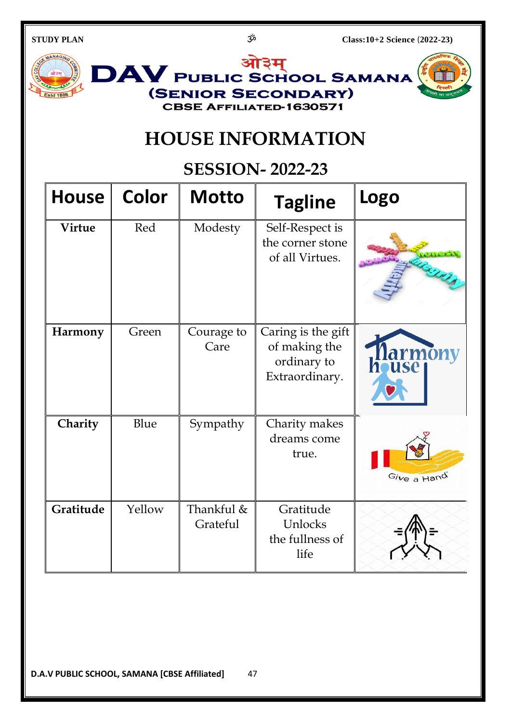ओ3म DAV PUBLIC SCHOOL SAMANA (SENIOR SECONDARY) **Estd 1886 CBSE AFFILIATED-1630571** 

# **HOUSE INFORMATION**

# **SESSION- 2022-23**

| <b>House</b>   | <b>Color</b> | <b>Motto</b>           | <b>Tagline</b>                                                       | Logo                           |
|----------------|--------------|------------------------|----------------------------------------------------------------------|--------------------------------|
| <b>Virtue</b>  | Red          | Modesty                | Self-Respect is<br>the corner stone<br>of all Virtues.               |                                |
| <b>Harmony</b> | Green        | Courage to<br>Care     | Caring is the gift<br>of making the<br>ordinary to<br>Extraordinary. | Tlarmony<br>house <sub>l</sub> |
| Charity        | Blue         | Sympathy               | Charity makes<br>dreams come<br>true.                                | Give a Hand                    |
| Gratitude      | Yellow       | Thankful &<br>Grateful | Gratitude<br>Unlocks<br>the fullness of<br>life                      |                                |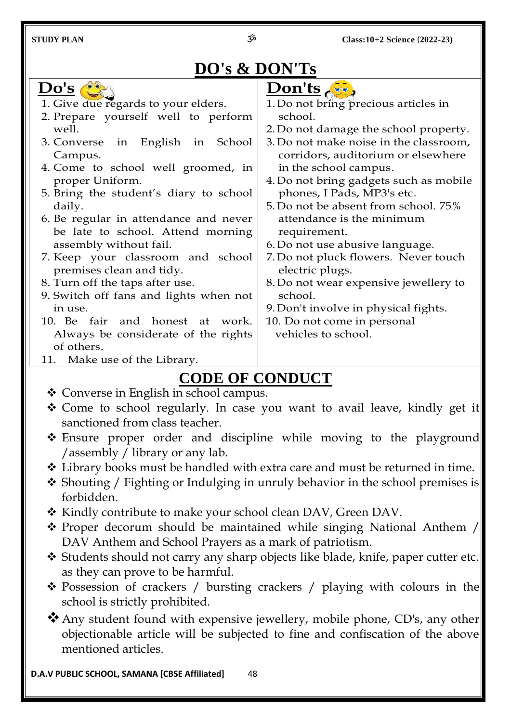# **DO's & DON'Ts**

| Do's                                   | Don'ts                                 |  |
|----------------------------------------|----------------------------------------|--|
| 1. Give due regards to your elders.    | 1. Do not bring precious articles in   |  |
| 2. Prepare yourself well to perform    | school.                                |  |
| well.                                  | 2. Do not damage the school property.  |  |
| 3. Converse in English in School       | 3. Do not make noise in the classroom, |  |
| Campus.                                | corridors, auditorium or elsewhere     |  |
| 4. Come to school well groomed, in     | in the school campus.                  |  |
| proper Uniform.                        | 4. Do not bring gadgets such as mobile |  |
| 5. Bring the student's diary to school | phones, I Pads, MP3's etc.             |  |
| daily.                                 | 5. Do not be absent from school. 75%   |  |
| 6. Be regular in attendance and never  | attendance is the minimum              |  |
| be late to school. Attend morning      | requirement.                           |  |
| assembly without fail.                 | 6. Do not use abusive language.        |  |
| 7. Keep your classroom and school      | 7. Do not pluck flowers. Never touch   |  |
| premises clean and tidy.               | electric plugs.                        |  |
| 8. Turn off the taps after use.        | 8. Do not wear expensive jewellery to  |  |
| 9. Switch off fans and lights when not | school.                                |  |
| in use.                                | 9. Don't involve in physical fights.   |  |
| 10. Be fair and honest at work.        | 10. Do not come in personal            |  |
| Always be considerate of the rights    | vehicles to school.                    |  |
| of others.                             |                                        |  |
| 11. Make use of the Library.           |                                        |  |
|                                        |                                        |  |

# **CODE OF CONDUCT**

- Converse in English in school campus.
- \* Come to school regularly. In case you want to avail leave, kindly get it sanctioned from class teacher.
- \* Ensure proper order and discipline while moving to the playground /assembly / library or any lab.
- Library books must be handled with extra care and must be returned in time.
- \* Shouting / Fighting or Indulging in unruly behavior in the school premises is forbidden.
- \* Kindly contribute to make your school clean DAV, Green DAV.
- \* Proper decorum should be maintained while singing National Anthem / DAV Anthem and School Prayers as a mark of patriotism.
- Students should not carry any sharp objects like blade, knife, paper cutter etc. as they can prove to be harmful.
- \* Possession of crackers / bursting crackers / playing with colours in the school is strictly prohibited.
- \* Any student found with expensive jewellery, mobile phone, CD's, any other objectionable article will be subjected to fine and confiscation of the above mentioned articles.